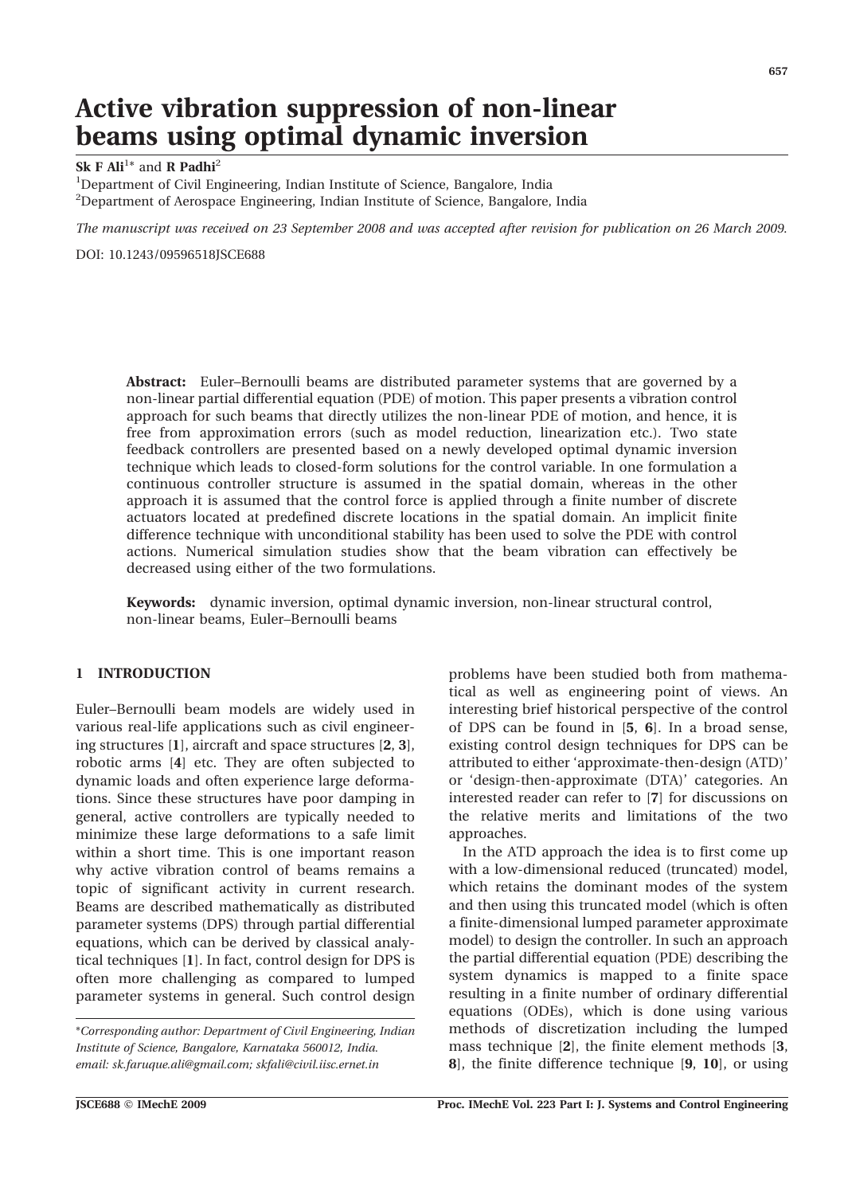# Active vibration suppression of non-linear beams using optimal dynamic inversion

Sk F Ali<sup>1\*</sup> and R Padhi<sup>2</sup>

<sup>1</sup>Department of Civil Engineering, Indian Institute of Science, Bangalore, India <sup>2</sup>Department of Aerospace Engineering, Indian Institute of Science, Bangalore, India

*The manuscript was received on 23 September 2008 and was accepted after revision for publication on 26 March 2009.*

DOI: 10.1243/09596518JSCE688

Abstract: Euler–Bernoulli beams are distributed parameter systems that are governed by a non-linear partial differential equation (PDE) of motion. This paper presents a vibration control approach for such beams that directly utilizes the non-linear PDE of motion, and hence, it is free from approximation errors (such as model reduction, linearization etc.). Two state feedback controllers are presented based on a newly developed optimal dynamic inversion technique which leads to closed-form solutions for the control variable. In one formulation a continuous controller structure is assumed in the spatial domain, whereas in the other approach it is assumed that the control force is applied through a finite number of discrete actuators located at predefined discrete locations in the spatial domain. An implicit finite difference technique with unconditional stability has been used to solve the PDE with control actions. Numerical simulation studies show that the beam vibration can effectively be decreased using either of the two formulations.

Keywords: dynamic inversion, optimal dynamic inversion, non-linear structural control, non-linear beams, Euler–Bernoulli beams

# 1 INTRODUCTION

Euler–Bernoulli beam models are widely used in various real-life applications such as civil engineering structures [1], aircraft and space structures [2, 3], robotic arms [4] etc. They are often subjected to dynamic loads and often experience large deformations. Since these structures have poor damping in general, active controllers are typically needed to minimize these large deformations to a safe limit within a short time. This is one important reason why active vibration control of beams remains a topic of significant activity in current research. Beams are described mathematically as distributed parameter systems (DPS) through partial differential equations, which can be derived by classical analytical techniques [1]. In fact, control design for DPS is often more challenging as compared to lumped parameter systems in general. Such control design

problems have been studied both from mathematical as well as engineering point of views. An interesting brief historical perspective of the control of DPS can be found in [5, 6]. In a broad sense, existing control design techniques for DPS can be attributed to either 'approximate-then-design (ATD)' or 'design-then-approximate (DTA)' categories. An interested reader can refer to [7] for discussions on the relative merits and limitations of the two approaches.

In the ATD approach the idea is to first come up with a low-dimensional reduced (truncated) model, which retains the dominant modes of the system and then using this truncated model (which is often a finite-dimensional lumped parameter approximate model) to design the controller. In such an approach the partial differential equation (PDE) describing the system dynamics is mapped to a finite space resulting in a finite number of ordinary differential equations (ODEs), which is done using various methods of discretization including the lumped mass technique [2], the finite element methods [3, 8], the finite difference technique [9, 10], or using

<sup>\*</sup>*Corresponding author: Department of Civil Engineering, Indian Institute of Science, Bangalore, Karnataka 560012, India. email: sk.faruque.ali@gmail.com; skfali@civil.iisc.ernet.in*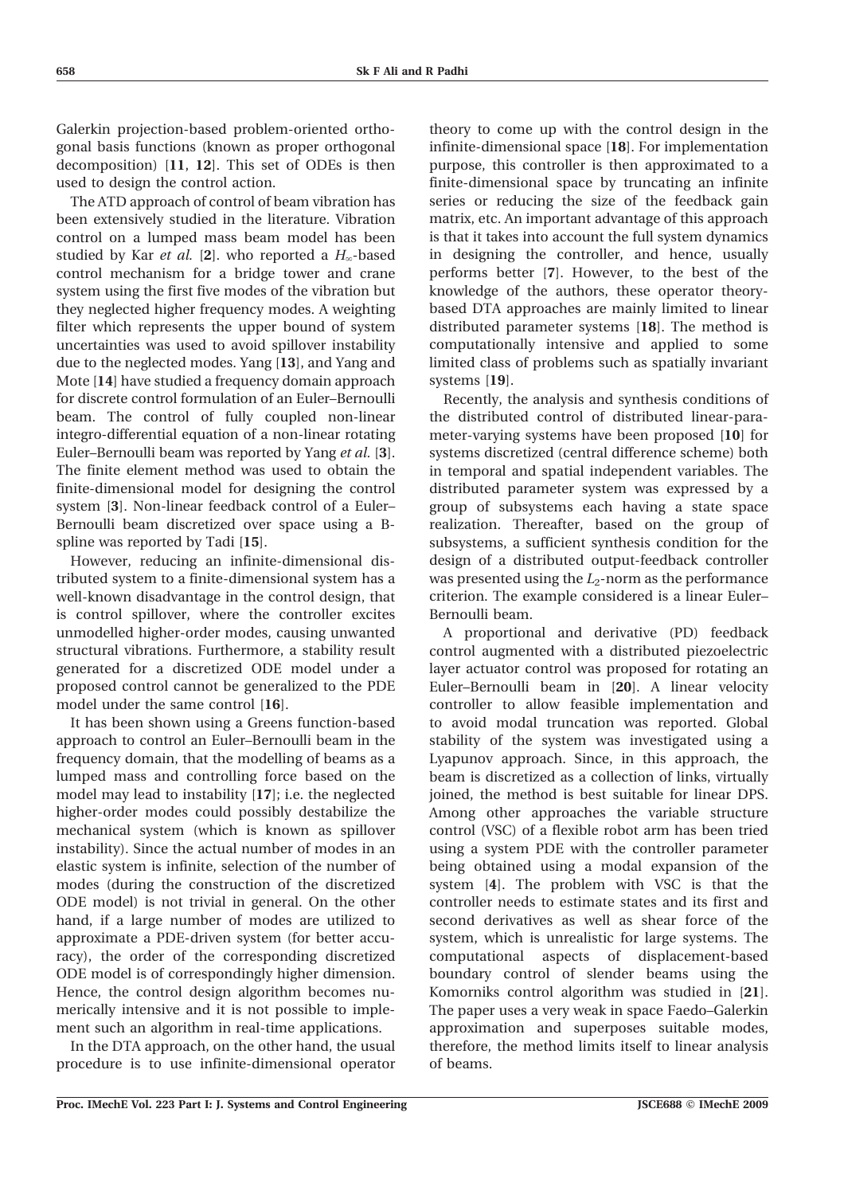Galerkin projection-based problem-oriented orthogonal basis functions (known as proper orthogonal decomposition) [11, 12]. This set of ODEs is then used to design the control action.

The ATD approach of control of beam vibration has been extensively studied in the literature. Vibration control on a lumped mass beam model has been studied by Kar *et al.* [2]. who reported a  $H_{\infty}$ -based control mechanism for a bridge tower and crane system using the first five modes of the vibration but they neglected higher frequency modes. A weighting filter which represents the upper bound of system uncertainties was used to avoid spillover instability due to the neglected modes. Yang [13], and Yang and Mote [14] have studied a frequency domain approach for discrete control formulation of an Euler–Bernoulli beam. The control of fully coupled non-linear integro-differential equation of a non-linear rotating Euler–Bernoulli beam was reported by Yang *et al.* [3]. The finite element method was used to obtain the finite-dimensional model for designing the control system [3]. Non-linear feedback control of a Euler– Bernoulli beam discretized over space using a Bspline was reported by Tadi [15].

However, reducing an infinite-dimensional distributed system to a finite-dimensional system has a well-known disadvantage in the control design, that is control spillover, where the controller excites unmodelled higher-order modes, causing unwanted structural vibrations. Furthermore, a stability result generated for a discretized ODE model under a proposed control cannot be generalized to the PDE model under the same control [16].

It has been shown using a Greens function-based approach to control an Euler–Bernoulli beam in the frequency domain, that the modelling of beams as a lumped mass and controlling force based on the model may lead to instability [17]; i.e. the neglected higher-order modes could possibly destabilize the mechanical system (which is known as spillover instability). Since the actual number of modes in an elastic system is infinite, selection of the number of modes (during the construction of the discretized ODE model) is not trivial in general. On the other hand, if a large number of modes are utilized to approximate a PDE-driven system (for better accuracy), the order of the corresponding discretized ODE model is of correspondingly higher dimension. Hence, the control design algorithm becomes numerically intensive and it is not possible to implement such an algorithm in real-time applications.

In the DTA approach, on the other hand, the usual procedure is to use infinite-dimensional operator theory to come up with the control design in the infinite-dimensional space [18]. For implementation purpose, this controller is then approximated to a finite-dimensional space by truncating an infinite series or reducing the size of the feedback gain matrix, etc. An important advantage of this approach is that it takes into account the full system dynamics in designing the controller, and hence, usually performs better [7]. However, to the best of the knowledge of the authors, these operator theorybased DTA approaches are mainly limited to linear distributed parameter systems [18]. The method is computationally intensive and applied to some limited class of problems such as spatially invariant systems [19].

Recently, the analysis and synthesis conditions of the distributed control of distributed linear-parameter-varying systems have been proposed [10] for systems discretized (central difference scheme) both in temporal and spatial independent variables. The distributed parameter system was expressed by a group of subsystems each having a state space realization. Thereafter, based on the group of subsystems, a sufficient synthesis condition for the design of a distributed output-feedback controller was presented using the *L*<sub>2</sub>-norm as the performance criterion. The example considered is a linear Euler– Bernoulli beam.

A proportional and derivative (PD) feedback control augmented with a distributed piezoelectric layer actuator control was proposed for rotating an Euler–Bernoulli beam in [20]. A linear velocity controller to allow feasible implementation and to avoid modal truncation was reported. Global stability of the system was investigated using a Lyapunov approach. Since, in this approach, the beam is discretized as a collection of links, virtually joined, the method is best suitable for linear DPS. Among other approaches the variable structure control (VSC) of a flexible robot arm has been tried using a system PDE with the controller parameter being obtained using a modal expansion of the system [4]. The problem with VSC is that the controller needs to estimate states and its first and second derivatives as well as shear force of the system, which is unrealistic for large systems. The computational aspects of displacement-based boundary control of slender beams using the Komorniks control algorithm was studied in [21]. The paper uses a very weak in space Faedo–Galerkin approximation and superposes suitable modes, therefore, the method limits itself to linear analysis of beams.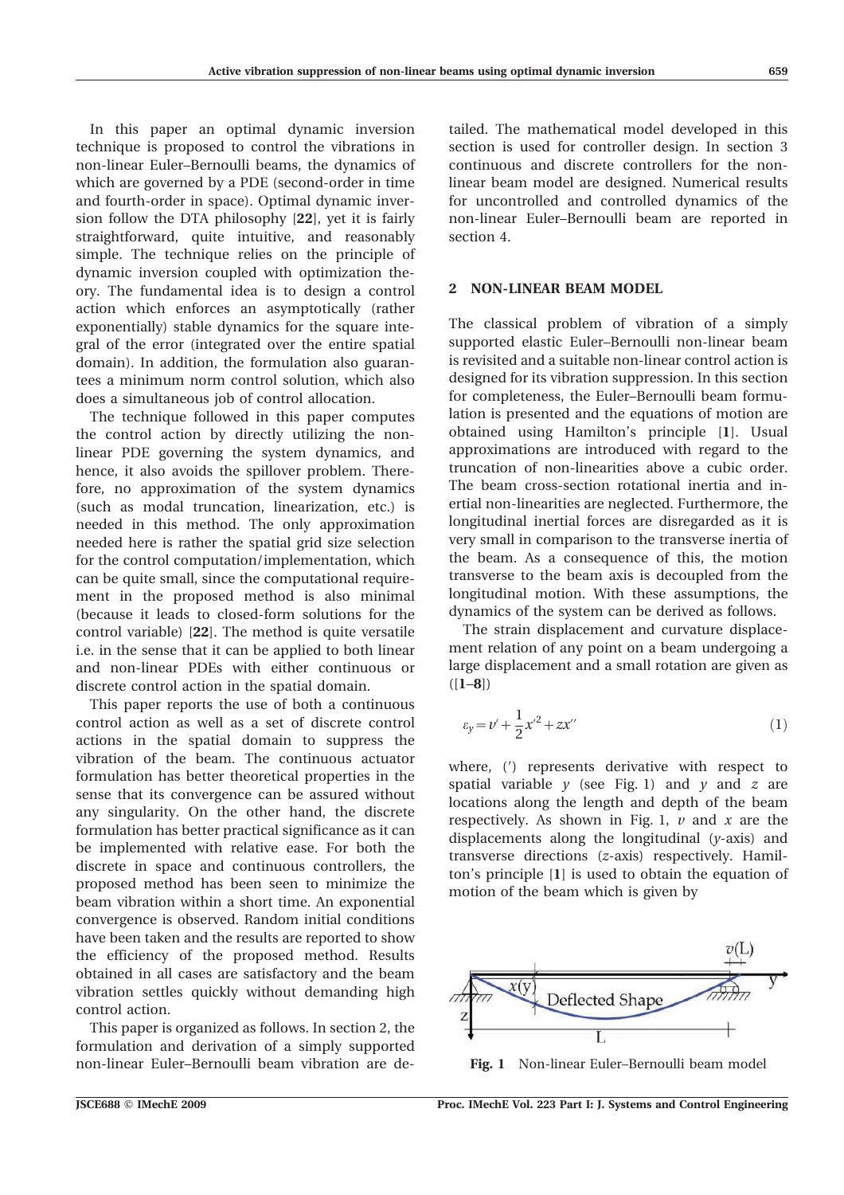In this paper an optimal dynamic inversion technique is proposed to control the vibrations in non-linear Euler–Bernoulli beams, the dynamics of which are governed by a PDE (second-order in time and fourth-order in space). Optimal dynamic inversion follow the DTA philosophy [22], yet it is fairly straightforward, quite intuitive, and reasonably simple. The technique relies on the principle of dynamic inversion coupled with optimization theory. The fundamental idea is to design a control action which enforces an asymptotically (rather exponentially) stable dynamics for the square integral of the error (integrated over the entire spatial domain). In addition, the formulation also guarantees a minimum norm control solution, which also does a simultaneous job of control allocation.

The technique followed in this paper computes the control action by directly utilizing the nonlinear PDE governing the system dynamics, and hence, it also avoids the spillover problem. Therefore, no approximation of the system dynamics (such as modal truncation, linearization, etc.) is needed in this method. The only approximation needed here is rather the spatial grid size selection for the control computation/implementation, which can be quite small, since the computational requirement in the proposed method is also minimal (because it leads to closed-form solutions for the control variable) [22]. The method is quite versatile i.e. in the sense that it can be applied to both linear and non-linear PDEs with either continuous or discrete control action in the spatial domain.

This paper reports the use of both a continuous control action as well as a set of discrete control actions in the spatial domain to suppress the vibration of the beam. The continuous actuator formulation has better theoretical properties in the sense that its convergence can be assured without any singularity. On the other hand, the discrete formulation has better practical significance as it can be implemented with relative ease. For both the discrete in space and continuous controllers, the proposed method has been seen to minimize the beam vibration within a short time. An exponential convergence is observed. Random initial conditions have been taken and the results are reported to show the efficiency of the proposed method. Results obtained in all cases are satisfactory and the beam vibration settles quickly without demanding high control action.

This paper is organized as follows. In section 2, the formulation and derivation of a simply supported non-linear Euler–Bernoulli beam vibration are detailed. The mathematical model developed in this section is used for controller design. In section 3 continuous and discrete controllers for the nonlinear beam model are designed. Numerical results for uncontrolled and controlled dynamics of the non-linear Euler–Bernoulli beam are reported in section 4.

# 2 NON-LINEAR BEAM MODEL

The classical problem of vibration of a simply supported elastic Euler–Bernoulli non-linear beam is revisited and a suitable non-linear control action is designed for its vibration suppression. In this section for completeness, the Euler–Bernoulli beam formulation is presented and the equations of motion are obtained using Hamilton's principle [1]. Usual approximations are introduced with regard to the truncation of non-linearities above a cubic order. The beam cross-section rotational inertia and inertial non-linearities are neglected. Furthermore, the longitudinal inertial forces are disregarded as it is very small in comparison to the transverse inertia of the beam. As a consequence of this, the motion transverse to the beam axis is decoupled from the longitudinal motion. With these assumptions, the dynamics of the system can be derived as follows.

The strain displacement and curvature displacement relation of any point on a beam undergoing a large displacement and a small rotation are given as  $([1–8])$ 

$$
\varepsilon_y = \nu' + \frac{1}{2}x^2 + zx''
$$
 (1)

where, (') represents derivative with respect to spatial variable  $\gamma$  (see Fig. 1) and  $\gamma$  and  $\zeta$  are locations along the length and depth of the beam respectively. As shown in Fig. 1, *v* and *x* are the displacements along the longitudinal (*y*-axis) and transverse directions (*z*-axis) respectively. Hamilton's principle [1] is used to obtain the equation of motion of the beam which is given by



Fig. 1 Non-linear Euler–Bernoulli beam model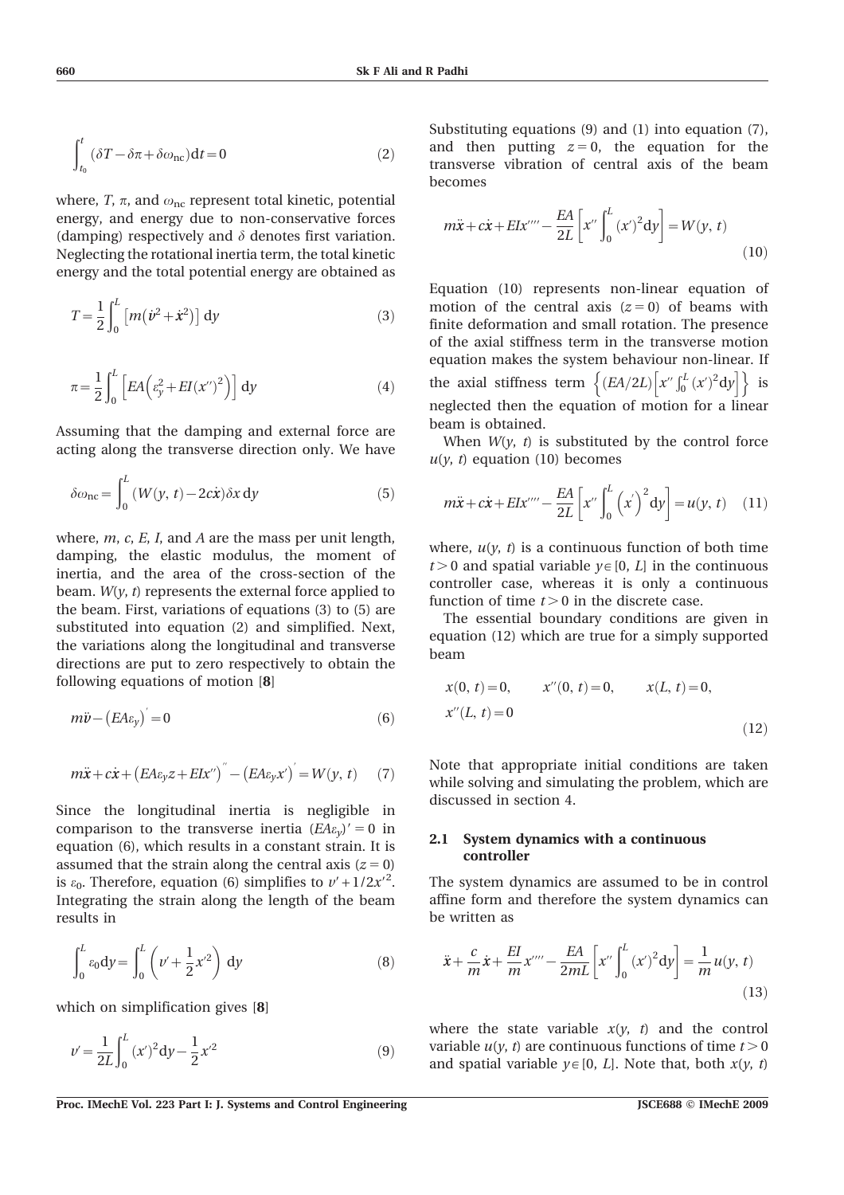$$
\int_{t_0}^t (\delta T - \delta \pi + \delta \omega_{\rm nc}) dt = 0 \tag{2}
$$

where,  $T$ ,  $\pi$ , and  $\omega$ <sub>nc</sub> represent total kinetic, potential energy, and energy due to non-conservative forces (damping) respectively and  $\delta$  denotes first variation. Neglecting the rotational inertia term, the total kinetic energy and the total potential energy are obtained as

$$
T = \frac{1}{2} \int_0^L \left[ m\left(\dot{v}^2 + \dot{x}^2\right) \right] dy \tag{3}
$$

$$
\pi = \frac{1}{2} \int_0^L \left[ EA \left( \varepsilon_y^2 + EI(x'')^2 \right) \right] dy \tag{4}
$$

Assuming that the damping and external force are acting along the transverse direction only. We have

$$
\delta \omega_{\rm nc} = \int_0^L (W(y, t) - 2c\dot{x}) \delta x \, dy \tag{5}
$$

where, *m*, *c*, *E*, *I*, and *A* are the mass per unit length, damping, the elastic modulus, the moment of inertia, and the area of the cross-section of the beam. *W*(*y*, *t*) represents the external force applied to the beam. First, variations of equations (3) to (5) are substituted into equation (2) and simplified. Next, the variations along the longitudinal and transverse directions are put to zero respectively to obtain the following equations of motion [8]

$$
m\ddot{\mathbf{v}} - (E A \varepsilon_{\mathbf{y}})' = 0 \tag{6}
$$

$$
m\ddot{x} + c\dot{x} + \left(EA\varepsilon_y z + ELx''\right)'' - \left(EA\varepsilon_y x'\right)' = W(y, t) \tag{7}
$$

Since the longitudinal inertia is negligible in comparison to the transverse inertia  $(EA_{\epsilon y})' = 0$  in equation (6), which results in a constant strain. It is assumed that the strain along the central axis  $(z = 0)$ is  $\varepsilon_0$ . Therefore, equation (6) simplifies to  $v' + 1/2x'^2$ . Integrating the strain along the length of the beam results in

$$
\int_{0}^{L} \varepsilon_{0} dy = \int_{0}^{L} \left( \nu' + \frac{1}{2} x'^{2} \right) dy
$$
 (8)

which on simplification gives [8]

$$
v' = \frac{1}{2L} \int_0^L (x')^2 dy - \frac{1}{2} x'^2
$$
 (9)

Substituting equations (9) and (1) into equation (7), and then putting  $z = 0$ , the equation for the transverse vibration of central axis of the beam becomes

$$
m\ddot{x} + c\dot{x} + Elx'''' - \frac{EA}{2L} \left[ x'' \int_0^L (x')^2 dy \right] = W(y, t)
$$
\n(10)

Equation (10) represents non-linear equation of motion of the central axis  $(z=0)$  of beams with finite deformation and small rotation. The presence of the axial stiffness term in the transverse motion equation makes the system behaviour non-linear. If the axial stiffness term  $\left\{ (EA/2L) \left[ x' \int_0^L (x')^2 dy \right] \right\}$  is neglected then the equation of motion for a linear beam is obtained.

When  $W(y, t)$  is substituted by the control force  $u(y, t)$  equation (10) becomes

$$
m\ddot{x} + c\dot{x} + EIx^{\prime\prime\prime} - \frac{EA}{2L} \left[ x^{\prime\prime} \int_0^L \left( x^{\prime} \right)^2 dy \right] = u(y, t) \quad (11)
$$

where,  $u(y, t)$  is a continuous function of both time  $t > 0$  and spatial variable  $y \in [0, L]$  in the continuous controller case, whereas it is only a continuous function of time  $t > 0$  in the discrete case.

The essential boundary conditions are given in equation (12) which are true for a simply supported beam

$$
x(0, t) = 0, \t x''(0, t) = 0, \t x(L, t) = 0,
$$
  

$$
x''(L, t) = 0 \t (12)
$$

Note that appropriate initial conditions are taken while solving and simulating the problem, which are discussed in section 4.

# 2.1 System dynamics with a continuous controller

The system dynamics are assumed to be in control affine form and therefore the system dynamics can be written as

$$
\ddot{x} + \frac{c}{m}\dot{x} + \frac{EI}{m}x'''' - \frac{EA}{2mL} \left[ x'' \int_0^L (x')^2 dy \right] = \frac{1}{m} u(y, t)
$$
\n(13)

where the state variable  $x(y, t)$  and the control variable  $u(y, t)$  are continuous functions of time  $t > 0$ and spatial variable  $y \in [0, L]$ . Note that, both  $x(y, t)$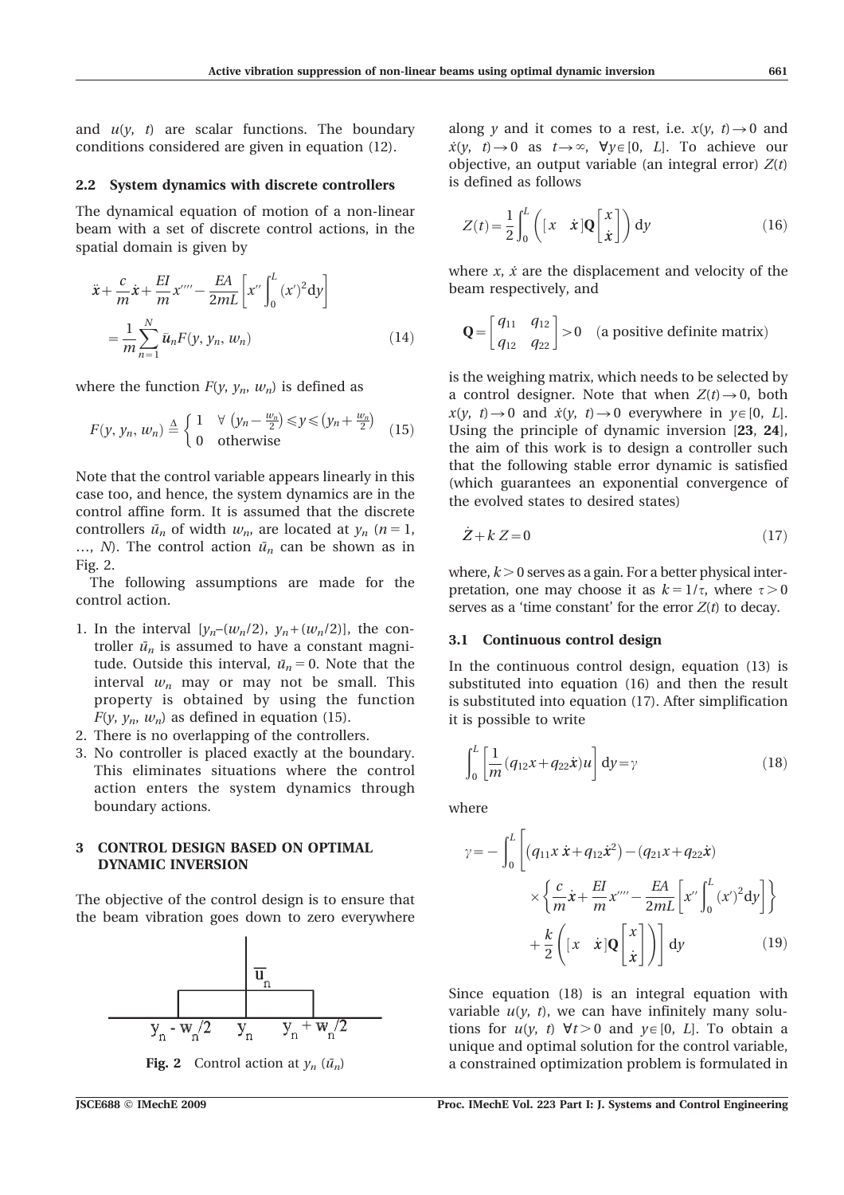and  $u(y, t)$  are scalar functions. The boundary conditions considered are given in equation (12).

# 2.2 System dynamics with discrete controllers

The dynamical equation of motion of a non-linear beam with a set of discrete control actions, in the spatial domain is given by

$$
\ddot{x} + \frac{c}{m}\dot{x} + \frac{EI}{m}x^{\prime\prime\prime} - \frac{EA}{2mL} \left[x^{\prime\prime}\int_{0}^{L} (x^{\prime})^2 dy\right]
$$

$$
= \frac{1}{m}\sum_{n=1}^{N} \bar{u}_n F(y, y_n, w_n)
$$
(14)

where the function  $F(y, y_n, w_n)$  is defined as

$$
F(y, y_n, w_n) \stackrel{\Delta}{=} \begin{cases} 1 & \forall \ (y_n - \frac{w_n}{2}) \leq y \leq (y_n + \frac{w_n}{2}) \\ 0 & \text{otherwise} \end{cases} (15)
$$

Note that the control variable appears linearly in this case too, and hence, the system dynamics are in the control affine form. It is assumed that the discrete controllers  $\bar{u}_n$  of width  $w_n$ , are located at  $y_n$  ( $n = 1$ , ..., *N*). The control action  $\bar{u}_n$  can be shown as in Fig. 2.

The following assumptions are made for the control action.

- 1. In the interval  $[y_n-(w_n/2), y_n+(w_n/2)]$ , the controller  $\bar{u}_n$  is assumed to have a constant magnitude. Outside this interval,  $\bar{u}_n = 0$ . Note that the interval  $w_n$  may or may not be small. This property is obtained by using the function *F*(*y*,  $y_n$ ,  $w_n$ ) as defined in equation (15).
- 2. There is no overlapping of the controllers.
- 3. No controller is placed exactly at the boundary. This eliminates situations where the control action enters the system dynamics through boundary actions.

# 3 CONTROL DESIGN BASED ON OPTIMAL DYNAMIC INVERSION

The objective of the control design is to ensure that the beam vibration goes down to zero everywhere



along *y* and it comes to a rest, i.e.  $x(y, t) \rightarrow 0$  and  $\dot{x}(y, t) \rightarrow 0$  as  $t \rightarrow \infty$ ,  $\forall y \in [0, L]$ . To achieve our objective, an output variable (an integral error) *Z*(*t*) is defined as follows

$$
Z(t) = \frac{1}{2} \int_0^L \left( [x \quad \dot{x}] \mathbf{Q} \begin{bmatrix} x \\ \dot{x} \end{bmatrix} \right) dy \tag{16}
$$

where *x*, *x˙* are the displacement and velocity of the beam respectively, and

$$
\mathbf{Q} = \begin{bmatrix} q_{11} & q_{12} \\ q_{12} & q_{22} \end{bmatrix} > 0 \quad \text{(a positive definite matrix)}
$$

is the weighing matrix, which needs to be selected by a control designer. Note that when  $Z(t) \rightarrow 0$ , both  $x(y, t) \rightarrow 0$  and  $\dot{x}(y, t) \rightarrow 0$  everywhere in  $y \in [0, L]$ . Using the principle of dynamic inversion [23, 24], the aim of this work is to design a controller such that the following stable error dynamic is satisfied (which guarantees an exponential convergence of the evolved states to desired states)

$$
\dot{Z} + k Z = 0 \tag{17}
$$

where,  $k > 0$  serves as a gain. For a better physical interpretation, one may choose it as  $k = 1/\tau$ , where  $\tau > 0$ serves as a 'time constant' for the error  $Z(t)$  to decay.

# 3.1 Continuous control design

In the continuous control design, equation (13) is substituted into equation (16) and then the result is substituted into equation (17). After simplification it is possible to write

$$
\int_0^L \left[ \frac{1}{m} (q_{12}x + q_{22}x)u \right] dy = \gamma \tag{18}
$$

where

$$
\gamma = -\int_0^L \left[ (q_{11}x \dot{x} + q_{12}\dot{x}^2) - (q_{21}x + q_{22}\dot{x}) \times \left\{ \frac{c}{m}\dot{x} + \frac{EI}{m}x^{\prime\prime\prime} - \frac{EA}{2mL} \left[ x^{\prime\prime} \int_0^L (x^{\prime})^2 dy \right] \right\} + \frac{k}{2} \left( \left[ x \dot{x} \right] \mathbf{Q} \left[ \begin{array}{c} x \\ \dot{x} \end{array} \right] \right) dy \tag{19}
$$

Since equation (18) is an integral equation with variable  $u(y, t)$ , we can have infinitely many solutions for  $u(y, t)$   $\forall t > 0$  and  $y \in [0, L]$ . To obtain a unique and optimal solution for the control variable, Fig. 2 Control action at  $y_n$  ( $\bar{u}_n$ ) a constrained optimization problem is formulated in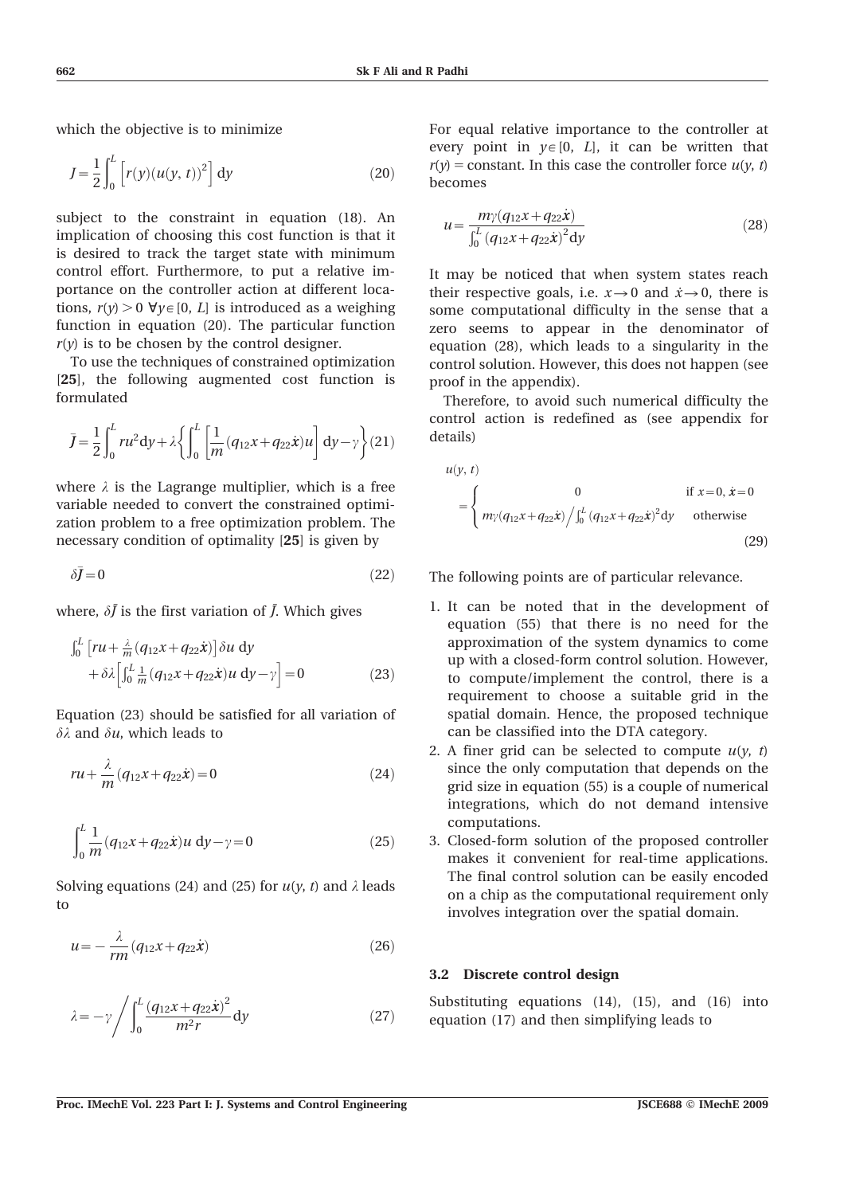which the objective is to minimize

$$
J = \frac{1}{2} \int_0^L \left[ r(y) (u(y, t))^2 \right] dy
$$
 (20)

subject to the constraint in equation (18). An implication of choosing this cost function is that it is desired to track the target state with minimum control effort. Furthermore, to put a relative importance on the controller action at different locations,  $r(\gamma) > 0$   $\forall \gamma \in [0, L]$  is introduced as a weighing function in equation (20). The particular function  $r(y)$  is to be chosen by the control designer.

To use the techniques of constrained optimization [25], the following augmented cost function is formulated

$$
\bar{J} = \frac{1}{2} \int_0^L r u^2 \, \mathrm{d}y + \lambda \left\{ \int_0^L \left[ \frac{1}{m} (q_{12} x + q_{22} x) u \right] \, \mathrm{d}y - \gamma \right\} (21)
$$

where  $\lambda$  is the Lagrange multiplier, which is a free variable needed to convert the constrained optimization problem to a free optimization problem. The necessary condition of optimality [25] is given by

$$
\delta \bar{J} = 0 \tag{22}
$$

where,  $\delta \bar{J}$  is the first variation of  $\bar{J}$ . Which gives

$$
\int_0^L \left[ ru + \frac{\lambda}{m} (q_{12}x + q_{22}x) \right] \delta u \, \mathrm{d}y + \delta \lambda \left[ \int_0^L \frac{1}{m} (q_{12}x + q_{22}x) u \, \mathrm{d}y - \gamma \right] = 0 \tag{23}
$$

Equation (23) should be satisfied for all variation of  $\delta\lambda$  and  $\delta u$ , which leads to

$$
ru + \frac{\lambda}{m}(q_{12}x + q_{22}\dot{x}) = 0
$$
\n(24)

$$
\int_{0}^{L} \frac{1}{m} (q_{12}x + q_{22} \dot{x}) u \, dy - \gamma = 0 \tag{25}
$$

Solving equations (24) and (25) for  $u(y, t)$  and  $\lambda$  leads to

$$
u = -\frac{\lambda}{rm}(q_{12}x + q_{22}x)
$$
\n(26)

$$
\lambda = -\gamma \left/ \int_0^L \frac{\left( q_{12} x + q_{22} x \right)^2}{m^2 r} \, \mathrm{d}y \right. \tag{27}
$$

For equal relative importance to the controller at every point in  $y \in [0, L]$ , it can be written that  $r(\gamma)$  = constant. In this case the controller force  $u(\gamma, t)$ becomes

$$
u = \frac{m\gamma (q_{12}x + q_{22}x)}{\int_0^L (q_{12}x + q_{22}x)^2 dy}
$$
(28)

It may be noticed that when system states reach their respective goals, i.e.  $x \rightarrow 0$  and  $\dot{x} \rightarrow 0$ , there is some computational difficulty in the sense that a zero seems to appear in the denominator of equation (28), which leads to a singularity in the control solution. However, this does not happen (see proof in the appendix).

Therefore, to avoid such numerical difficulty the control action is redefined as (see appendix for details)

$$
u(y, t)
$$
  
= 
$$
\begin{cases} 0 & \text{if } x = 0, \dot{x} = 0\\ m\gamma(q_{12}x + q_{22}\dot{x}) \Big/ \int_0^L (q_{12}x + q_{22}\dot{x})^2 dy & \text{otherwise} \end{cases}
$$
(29)

The following points are of particular relevance.

- 1. It can be noted that in the development of equation (55) that there is no need for the approximation of the system dynamics to come up with a closed-form control solution. However, to compute/implement the control, there is a requirement to choose a suitable grid in the spatial domain. Hence, the proposed technique can be classified into the DTA category.
- 2. A finer grid can be selected to compute  $u(y, t)$ since the only computation that depends on the grid size in equation (55) is a couple of numerical integrations, which do not demand intensive computations.
- 3. Closed-form solution of the proposed controller makes it convenient for real-time applications. The final control solution can be easily encoded on a chip as the computational requirement only involves integration over the spatial domain.

### 3.2 Discrete control design

Substituting equations (14), (15), and (16) into equation (17) and then simplifying leads to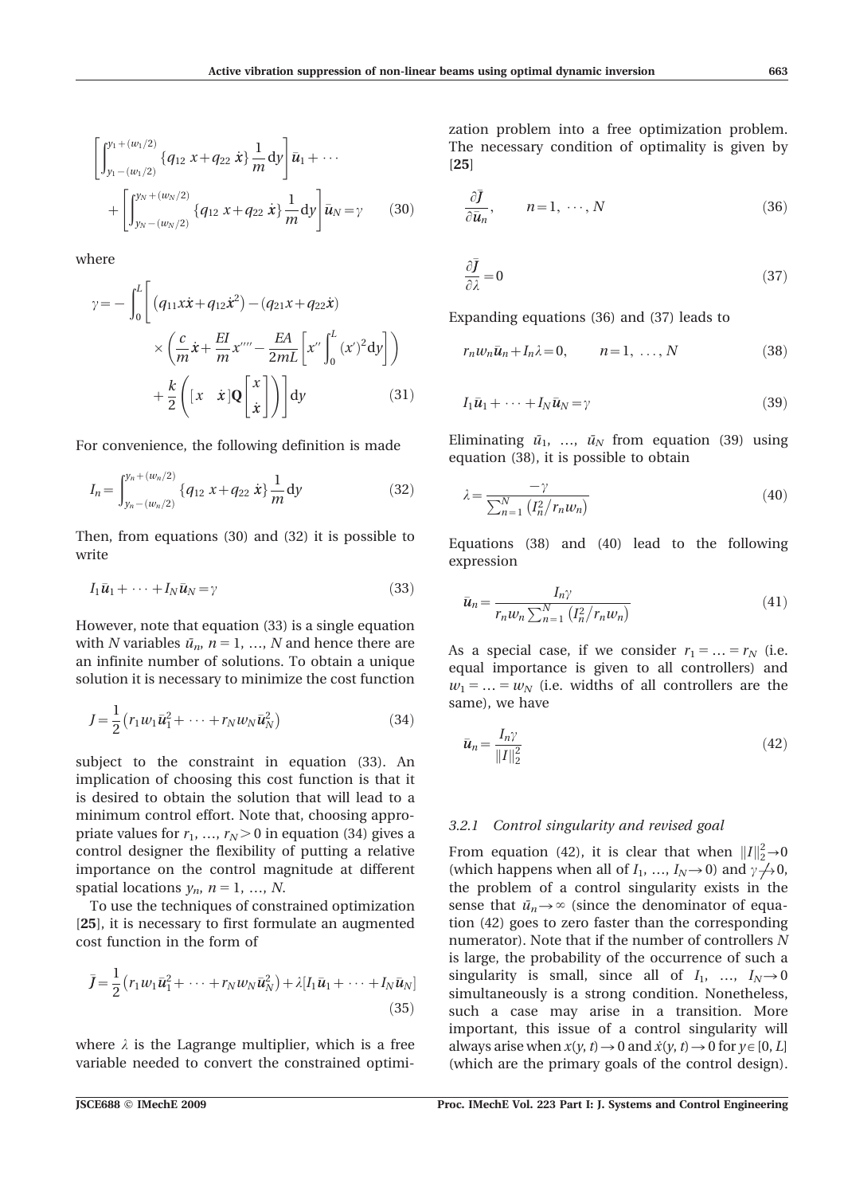$$
\left[\int_{y_1 - (w_1/2)}^{y_1 + (w_1/2)} \{q_{12} x + q_{22} x\} \frac{1}{m} dy \right] \bar{u}_1 + \cdots
$$
  
+ 
$$
\left[\int_{y_N - (w_N/2)}^{y_N + (w_N/2)} \{q_{12} x + q_{22} x\} \frac{1}{m} dy \right] \bar{u}_N = \gamma
$$
 (30)

where

$$
\gamma = -\int_0^L \left[ (q_{11}x\dot{x} + q_{12}\dot{x}^2) - (q_{21}x + q_{22}\dot{x}) \times \left( \frac{c}{m}\dot{x} + \frac{EI}{m}x'''' - \frac{EA}{2mL} \left[ x'' \int_0^L (x')^2 dy \right] \right) + \frac{k}{2} \left( \left[ x \dot{x} \right] \mathbf{Q} \left[ \dot{x} \right] \right) dy \tag{31}
$$

For convenience, the following definition is made

$$
I_n = \int_{y_n - (w_n/2)}^{y_n + (w_n/2)} \{q_{12} x + q_{22} x\} \frac{1}{m} dy
$$
 (32)

Then, from equations (30) and (32) it is possible to write

$$
I_1\bar{u}_1+\cdots+I_N\bar{u}_N=\gamma\tag{33}
$$

However, note that equation (33) is a single equation with *N* variables  $\bar{u}_n$ ,  $n = 1, ..., N$  and hence there are an infinite number of solutions. To obtain a unique solution it is necessary to minimize the cost function

$$
J = \frac{1}{2} (r_1 w_1 \bar{u}_1^2 + \dots + r_N w_N \bar{u}_N^2)
$$
 (34)

subject to the constraint in equation (33). An implication of choosing this cost function is that it is desired to obtain the solution that will lead to a minimum control effort. Note that, choosing appropriate values for  $r_1$ , ...,  $r_N$  > 0 in equation (34) gives a control designer the flexibility of putting a relative importance on the control magnitude at different spatial locations  $y_n$ ,  $n = 1, ..., N$ .

To use the techniques of constrained optimization [25], it is necessary to first formulate an augmented cost function in the form of

$$
\bar{J} = \frac{1}{2} (r_1 w_1 \bar{u}_1^2 + \dots + r_N w_N \bar{u}_N^2) + \lambda [I_1 \bar{u}_1 + \dots + I_N \bar{u}_N]
$$
\n(35)

where  $\lambda$  is the Lagrange multiplier, which is a free variable needed to convert the constrained optimization problem into a free optimization problem. The necessary condition of optimality is given by [25]

$$
\frac{\partial \bar{J}}{\partial \bar{u}_n}, \qquad n = 1, \cdots, N \tag{36}
$$

$$
\frac{\partial \bar{J}}{\partial \lambda} = 0 \tag{37}
$$

Expanding equations (36) and (37) leads to

$$
r_n w_n \bar{u}_n + I_n \lambda = 0, \qquad n = 1, \ldots, N \tag{38}
$$

$$
I_1\bar{u}_1+\cdots+I_N\bar{u}_N=\gamma\tag{39}
$$

Eliminating  $\bar{u}_1$ , ...,  $\bar{u}_N$  from equation (39) using equation (38), it is possible to obtain

$$
\lambda = \frac{-\gamma}{\sum_{n=1}^{N} \left( I_n^2 / r_n w_n \right)} \tag{40}
$$

Equations (38) and (40) lead to the following expression

$$
\bar{u}_n = \frac{I_n \gamma}{r_n w_n \sum_{n=1}^N \left( I_n^2 / r_n w_n \right)} \tag{41}
$$

As a special case, if we consider  $r_1 = ... = r_N$  (i.e. equal importance is given to all controllers) and  $w_1 = ... = w_N$  (i.e. widths of all controllers are the same), we have

$$
\bar{u}_n = \frac{I_n \gamma}{\|I\|_2^2} \tag{42}
$$

### *3.2.1 Control singularity and revised goal*

From equation (42), it is clear that when  $||I||_2^2 \rightarrow 0$ (which happens when all of  $I_1$ , ...,  $I_N \rightarrow 0$ ) and  $\gamma \not\rightarrow 0$ , the problem of a control singularity exists in the sense that  $\bar{u}_n \rightarrow \infty$  (since the denominator of equation (42) goes to zero faster than the corresponding numerator). Note that if the number of controllers *N* is large, the probability of the occurrence of such a singularity is small, since all of  $I_1$ , ...,  $I_N \rightarrow 0$ simultaneously is a strong condition. Nonetheless, such a case may arise in a transition. More important, this issue of a control singularity will always arise when  $x(y, t) \rightarrow 0$  and  $\dot{x}(y, t) \rightarrow 0$  for  $y \in [0, L]$ (which are the primary goals of the control design).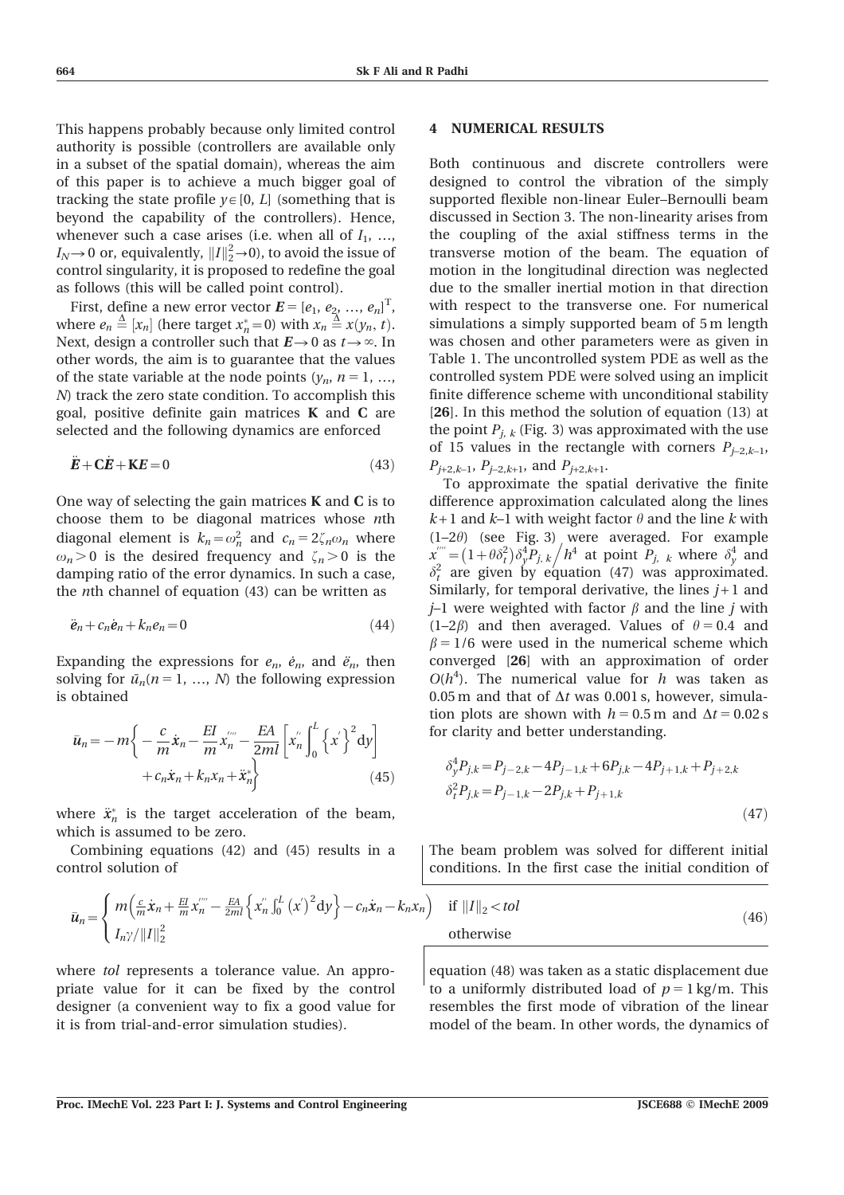This happens probably because only limited control authority is possible (controllers are available only in a subset of the spatial domain), whereas the aim of this paper is to achieve a much bigger goal of tracking the state profile  $y \in [0, L]$  (something that is beyond the capability of the controllers). Hence, whenever such a case arises (i.e. when all of  $I_1$ , ...,  $I_N$   $\rightarrow$  0 or, equivalently,  $\|I\|_2^2$   $\rightarrow$  0), to avoid the issue of control singularity, it is proposed to redefine the goal as follows (this will be called point control).

First, define a new error vector  $\mathbf{E} = [e_1, e_2, ..., e_n]^\mathrm{T}$ , where  $e_n \triangleq [x_n]$  (here target  $x_n^* = 0$ ) with  $x_n \triangleq x(y_n, t)$ . Next, design a controller such that  $E \rightarrow 0$  as  $t \rightarrow \infty$ . In other words, the aim is to guarantee that the values of the state variable at the node points  $(y_n, n = 1, \ldots,$ *N*) track the zero state condition. To accomplish this goal, positive definite gain matrices  $K$  and  $C$  are selected and the following dynamics are enforced

$$
\ddot{E} + \mathbf{C}\dot{E} + \mathbf{K}E = 0 \tag{43}
$$

One way of selecting the gain matrices  $K$  and  $C$  is to choose them to be diagonal matrices whose *n*th diagonal element is  $k_n = \omega_n^2$  and  $c_n = 2\zeta_n \omega_n$  where  $\omega_n$  > 0 is the desired frequency and  $\zeta_n$  > 0 is the damping ratio of the error dynamics. In such a case, the *n*th channel of equation (43) can be written as

$$
\ddot{e}_n + c_n \dot{e}_n + k_n e_n = 0 \tag{44}
$$

Expanding the expressions for  $e_n$ ,  $\dot{e}_n$ , and  $\ddot{e}_n$ , then solving for  $\bar{u}_n(n = 1, ..., N)$  the following expression is obtained

$$
\bar{u}_n = -m \left\{ -\frac{c}{m} \dot{x}_n - \frac{EI}{m} x_n^{'} - \frac{EA}{2ml} \left[ x_n^{'} \int_0^L \left\{ x' \right\}^2 dy \right] + c_n \dot{x}_n + k_n x_n + \ddot{x}_n^* \right\}
$$
(45)

where  $\ddot{x}_n^*$  is the target acceleration of the beam, which is assumed to be zero.

Combining equations (42) and (45) results in a control solution of

### $\bar{u}_n =$  $m\left(\frac{c}{n}\right)$ *m*  $\dot{x}_n + \frac{EI}{m}$ *m x*  $\overline{a}$ '''  $\frac{m}{n} - \frac{EA}{2m}$  $rac{EA}{2ml}$   $\left\{ x\right\}$  $\overline{a}$ ' *n*  $\int_0^L$ 0 *x*  $(x')$  $\sqrt{2}$ d*y*  $\left\{ x_n^{\prime\prime} \int_0^L (x^{\prime})^2 dy \right\} - c_n \dot{x}_n - k_n x_n$  $\left(\frac{c}{m}\dot{x}_n+\frac{EI}{m}\dot{x}_n^{''''}-\frac{EA}{2ml}\left\{x_n^{''}\int_0^L (x')^2 dy\right\}-c_n\dot{x}_n-k_nx_n\right)$  if  $||I||$  $2 <$ *tol*  $I_n \gamma / \|I\|$ 2 <sup>2</sup>/<sub>2</sub> otherwise  $\sqrt{2}$  $\left| \right|$  $\mathcal{L}$

where *tol* represents a tolerance value. An appropriate value for it can be fixed by the control designer (a convenient way to fix a good value for it is from trial-and-error simulation studies).

### 4 NUMERICAL RESULTS

Both continuous and discrete controllers were designed to control the vibration of the simply supported flexible non-linear Euler–Bernoulli beam discussed in Section 3. The non-linearity arises from the coupling of the axial stiffness terms in the transverse motion of the beam. The equation of motion in the longitudinal direction was neglected due to the smaller inertial motion in that direction with respect to the transverse one. For numerical simulations a simply supported beam of 5 m length was chosen and other parameters were as given in Table 1. The uncontrolled system PDE as well as the controlled system PDE were solved using an implicit finite difference scheme with unconditional stability [26]. In this method the solution of equation (13) at the point  $P_{i,k}$  (Fig. 3) was approximated with the use of 15 values in the rectangle with corners  $P_{j-2,k-1}$ , *Pj*+2,*k*–1, *Pj*–2,*k*+1, and *Pj*+2,*k*+1.

To approximate the spatial derivative the finite difference approximation calculated along the lines  $k+1$  and  $k-1$  with weight factor  $\theta$  and the line  $k$  with  $(1-2\theta)$  (see Fig. 3) were averaged. For example  $x_i^{'}=(1+\theta\delta_t^2)\delta_y^4P_{j,k}/h^4$  at point  $P_{j,k}$  where  $\delta_y^4$  and  $\delta_t^2$  are given by equation (47) was approximated. Similarly, for temporal derivative, the lines  $j+1$  and  $j-1$  were weighted with factor  $\beta$  and the line *j* with  $(1-2\beta)$  and then averaged. Values of  $\theta = 0.4$  and  $\beta$  = 1/6 were used in the numerical scheme which converged [26] with an approximation of order  $O(h^4)$ . The numerical value for *h* was taken as 0.05 m and that of  $\Delta t$  was 0.001 s, however, simulation plots are shown with  $h = 0.5$  m and  $\Delta t = 0.02$  s for clarity and better understanding.

$$
\delta_y^4 P_{j,k} = P_{j-2,k} - 4P_{j-1,k} + 6P_{j,k} - 4P_{j+1,k} + P_{j+2,k}
$$
  
\n
$$
\delta_t^2 P_{j,k} = P_{j-1,k} - 2P_{j,k} + P_{j+1,k}
$$
\n(47)

The beam problem was solved for different initial conditions. In the first case the initial condition of

$$
m\left(\frac{c}{m}\dot{x}_n + \frac{EI}{m}x_n^{\prime\prime\prime} - \frac{EA}{2ml}\left\{x_n^{\prime\prime}\int_0^L (x^{\prime})^2 dy\right\} - c_n\dot{x}_n - k_nx_n\right) \quad \text{if } ||I||_2 < tol
$$
\n
$$
I_n\gamma/||I||_2^2 \qquad \text{otherwise}
$$
\n(46)

equation (48) was taken as a static displacement due to a uniformly distributed load of  $p = 1 \text{ kg/m}$ . This resembles the first mode of vibration of the linear model of the beam. In other words, the dynamics of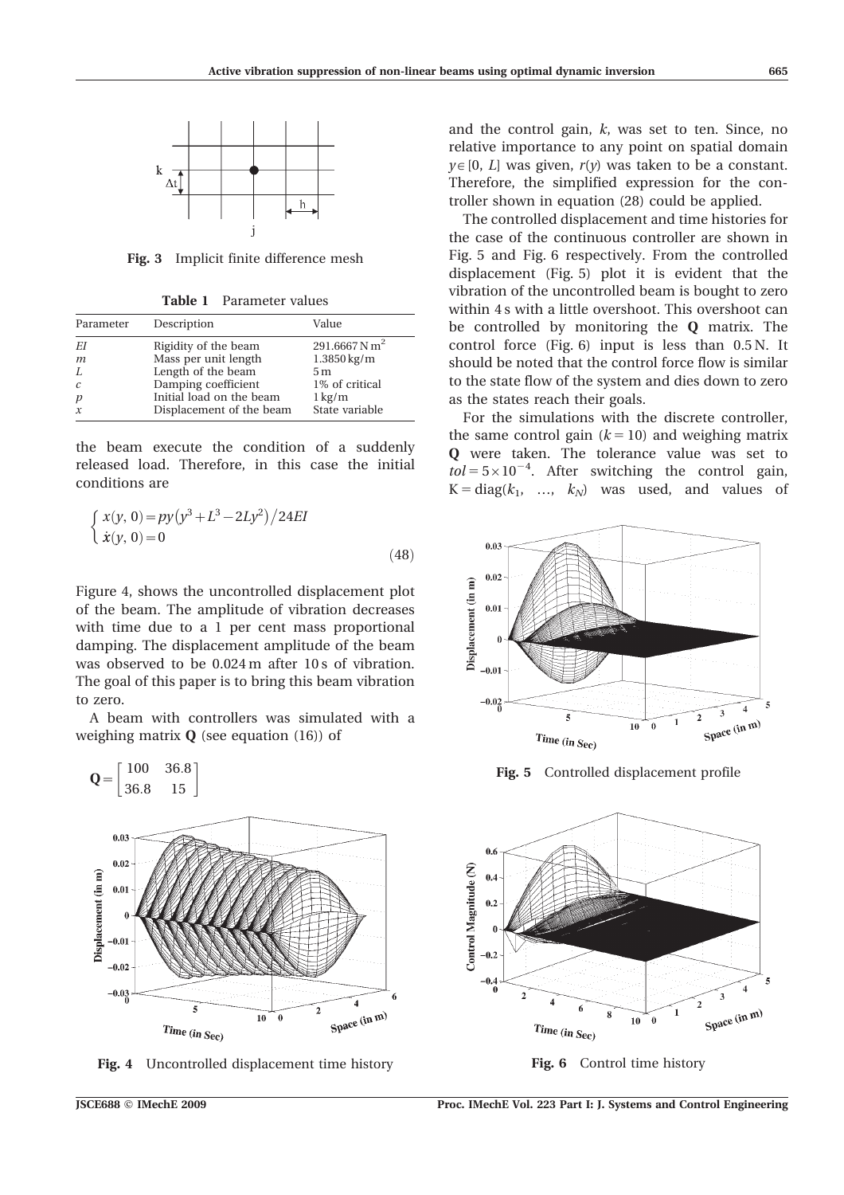

Fig. 3 Implicit finite difference mesh

Table 1 Parameter values

| Parameter | Description                                                                                                                                       | Value                                                                                                                          |
|-----------|---------------------------------------------------------------------------------------------------------------------------------------------------|--------------------------------------------------------------------------------------------------------------------------------|
| EI<br>m   | Rigidity of the beam<br>Mass per unit length<br>Length of the beam<br>Damping coefficient<br>Initial load on the beam<br>Displacement of the beam | $291.6667 \text{ N m}^2$<br>$1.3850 \,\mathrm{kg/m}$<br>5 <sub>m</sub><br>1% of critical<br>$1 \text{ kg/m}$<br>State variable |

the beam execute the condition of a suddenly released load. Therefore, in this case the initial conditions are

$$
\begin{cases} x(y, 0) = py(y^3 + L^3 - 2Ly^2)/24EI \\ \dot{x}(y, 0) = 0 \end{cases}
$$
\n(48)

Figure 4, shows the uncontrolled displacement plot of the beam. The amplitude of vibration decreases with time due to a 1 per cent mass proportional damping. The displacement amplitude of the beam was observed to be 0.024 m after 10 s of vibration. The goal of this paper is to bring this beam vibration to zero.

A beam with controllers was simulated with a weighing matrix  $Q$  (see equation (16)) of



Fig. 4 Uncontrolled displacement time history

The controlled displacement and time histories for the case of the continuous controller are shown in Fig. 5 and Fig. 6 respectively. From the controlled displacement (Fig. 5) plot it is evident that the vibration of the uncontrolled beam is bought to zero within 4 s with a little overshoot. This overshoot can be controlled by monitoring the Q matrix. The control force (Fig. 6) input is less than 0.5 N. It should be noted that the control force flow is similar to the state flow of the system and dies down to zero as the states reach their goals.

For the simulations with the discrete controller, the same control gain  $(k = 10)$  and weighing matrix Q were taken. The tolerance value was set to  $tol = 5 \times 10^{-4}$ . After switching the control gain,  $K = diag(k_1, ..., k_N)$  was used, and values of



Fig. 5 Controlled displacement profile



Fig. 6 Control time history

JSCE688 © IMechE 2009 Proc. IMechE Vol. 223 Part I: J. Systems and Control Engineering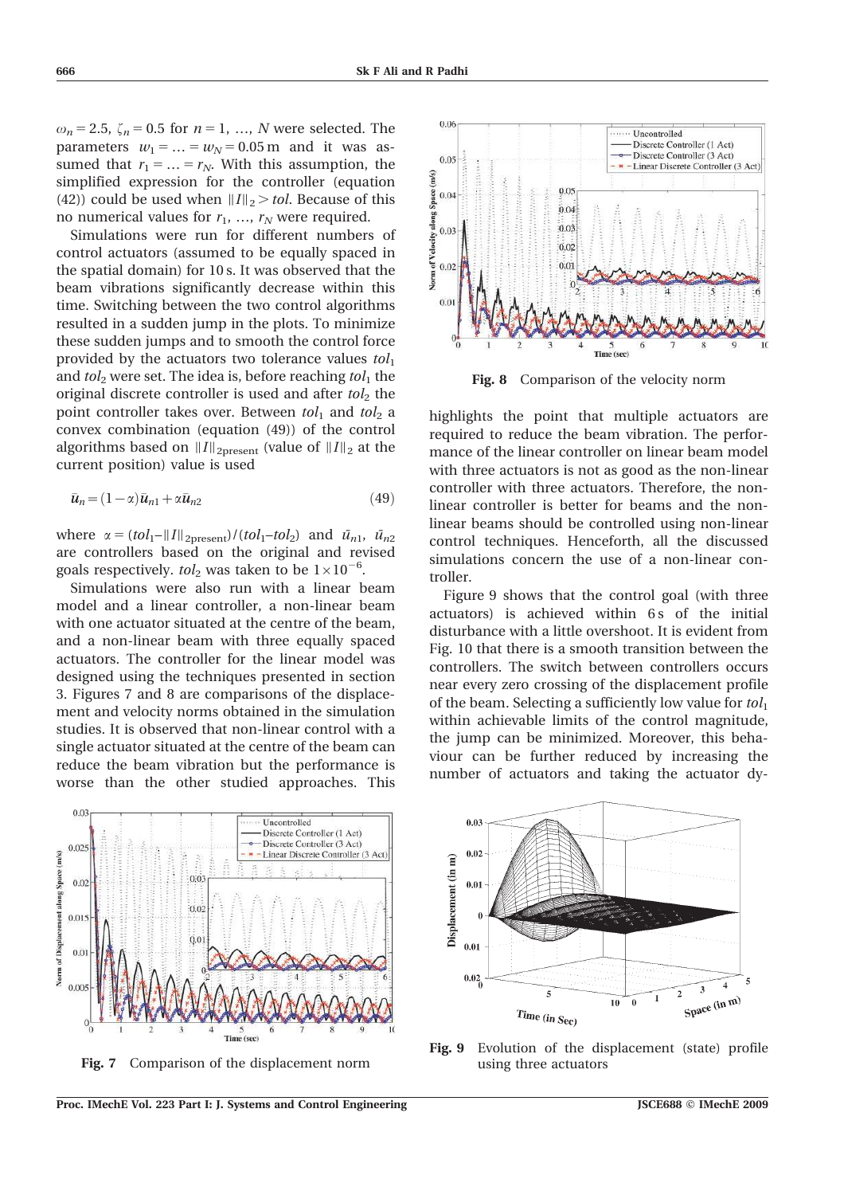$\omega_n$  = 2.5,  $\zeta_n$  = 0.5 for *n* = 1, ..., *N* were selected. The parameters  $w_1 = ... = w_N = 0.05$  m and it was assumed that  $r_1 = ... = r_N$ . With this assumption, the simplified expression for the controller (equation (42)) could be used when  $||I||_2 > tol$ . Because of this no numerical values for  $r_1$ , ...,  $r_N$  were required.

Simulations were run for different numbers of control actuators (assumed to be equally spaced in the spatial domain) for 10 s. It was observed that the beam vibrations significantly decrease within this time. Switching between the two control algorithms resulted in a sudden jump in the plots. To minimize these sudden jumps and to smooth the control force provided by the actuators two tolerance values *tol*<sub>1</sub> and *tol*<sub>2</sub> were set. The idea is, before reaching *tol*<sub>1</sub> the original discrete controller is used and after *tol*<sub>2</sub> the point controller takes over. Between *tol*<sub>1</sub> and *tol*<sub>2</sub> a convex combination (equation (49)) of the control algorithms based on  $||I||_{2present}$  (value of  $||I||_2$  at the current position) value is used

$$
\bar{u}_n = (1 - \alpha)\bar{u}_{n1} + \alpha \bar{u}_{n2} \tag{49}
$$

where  $\alpha = (tol_1 - ||I||_{20resent})/(tol_1 - tol_2)$  and  $\bar{u}_{n1}$ ,  $\bar{u}_{n2}$ are controllers based on the original and revised goals respectively.  $tol_2$  was taken to be  $1 \times 10^{-6}$ .

Simulations were also run with a linear beam model and a linear controller, a non-linear beam with one actuator situated at the centre of the beam, and a non-linear beam with three equally spaced actuators. The controller for the linear model was designed using the techniques presented in section 3. Figures 7 and 8 are comparisons of the displacement and velocity norms obtained in the simulation studies. It is observed that non-linear control with a single actuator situated at the centre of the beam can reduce the beam vibration but the performance is worse than the other studied approaches. This



Fig. 8 Comparison of the velocity norm

highlights the point that multiple actuators are required to reduce the beam vibration. The performance of the linear controller on linear beam model with three actuators is not as good as the non-linear controller with three actuators. Therefore, the nonlinear controller is better for beams and the nonlinear beams should be controlled using non-linear control techniques. Henceforth, all the discussed simulations concern the use of a non-linear controller.

Figure 9 shows that the control goal (with three actuators) is achieved within 6s of the initial disturbance with a little overshoot. It is evident from Fig. 10 that there is a smooth transition between the controllers. The switch between controllers occurs near every zero crossing of the displacement profile of the beam. Selecting a sufficiently low value for  $tol_1$ within achievable limits of the control magnitude, the jump can be minimized. Moreover, this behaviour can be further reduced by increasing the number of actuators and taking the actuator dy-



Fig. 7 Comparison of the displacement norm





Fig. 9 Evolution of the displacement (state) profile using three actuators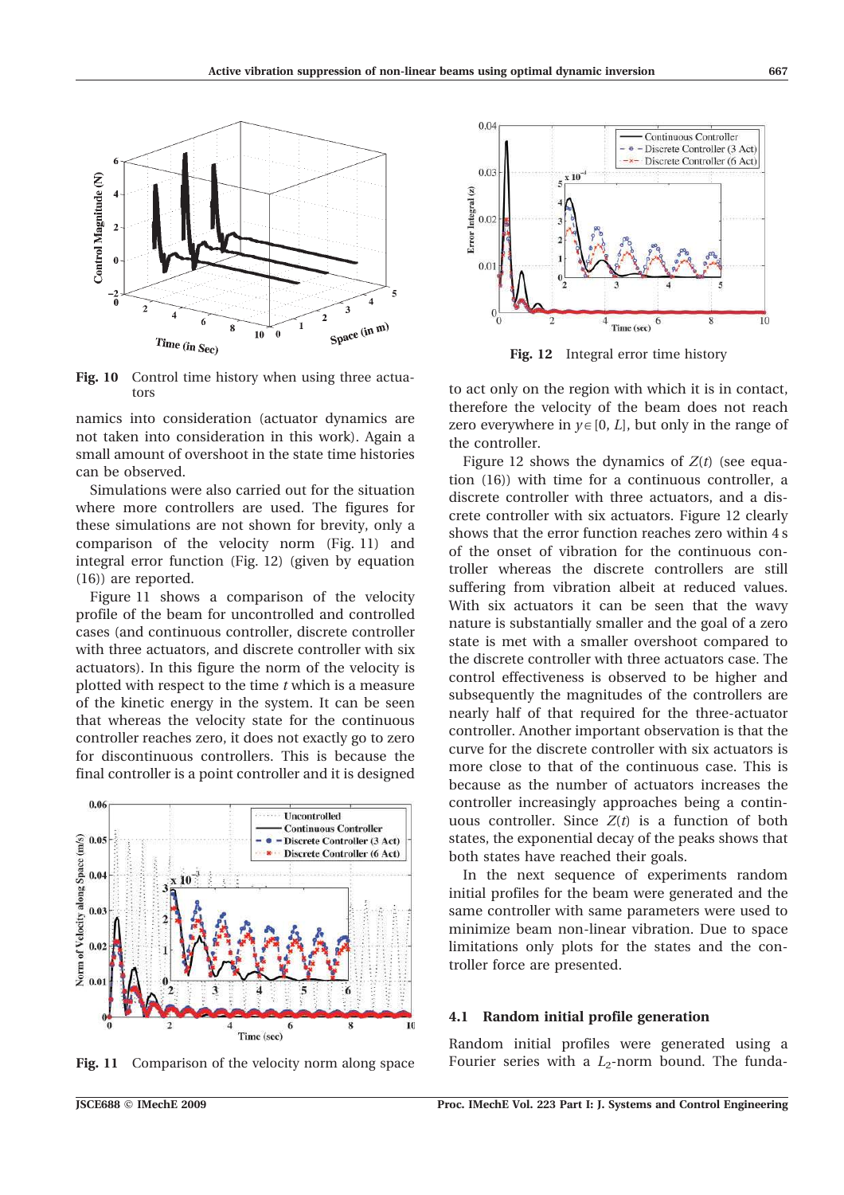

Fig. 10 Control time history when using three actuators

namics into consideration (actuator dynamics are not taken into consideration in this work). Again a small amount of overshoot in the state time histories can be observed.

Simulations were also carried out for the situation where more controllers are used. The figures for these simulations are not shown for brevity, only a comparison of the velocity norm (Fig. 11) and integral error function (Fig. 12) (given by equation (16)) are reported.

Figure 11 shows a comparison of the velocity profile of the beam for uncontrolled and controlled cases (and continuous controller, discrete controller with three actuators, and discrete controller with six actuators). In this figure the norm of the velocity is plotted with respect to the time *t* which is a measure of the kinetic energy in the system. It can be seen that whereas the velocity state for the continuous controller reaches zero, it does not exactly go to zero for discontinuous controllers. This is because the final controller is a point controller and it is designed



Fig. 11 Comparison of the velocity norm along space



Fig. 12 Integral error time history

to act only on the region with which it is in contact, therefore the velocity of the beam does not reach zero everywhere in  $y \in [0, L]$ , but only in the range of the controller.

Figure 12 shows the dynamics of *Z*(*t*) (see equation (16)) with time for a continuous controller, a discrete controller with three actuators, and a discrete controller with six actuators. Figure 12 clearly shows that the error function reaches zero within 4 s of the onset of vibration for the continuous controller whereas the discrete controllers are still suffering from vibration albeit at reduced values. With six actuators it can be seen that the wavy nature is substantially smaller and the goal of a zero state is met with a smaller overshoot compared to the discrete controller with three actuators case. The control effectiveness is observed to be higher and subsequently the magnitudes of the controllers are nearly half of that required for the three-actuator controller. Another important observation is that the curve for the discrete controller with six actuators is more close to that of the continuous case. This is because as the number of actuators increases the controller increasingly approaches being a continuous controller. Since *Z*(*t*) is a function of both states, the exponential decay of the peaks shows that both states have reached their goals.

In the next sequence of experiments random initial profiles for the beam were generated and the same controller with same parameters were used to minimize beam non-linear vibration. Due to space limitations only plots for the states and the controller force are presented.

# 4.1 Random initial profile generation

Random initial profiles were generated using a Fourier series with a *L*<sub>2</sub>-norm bound. The funda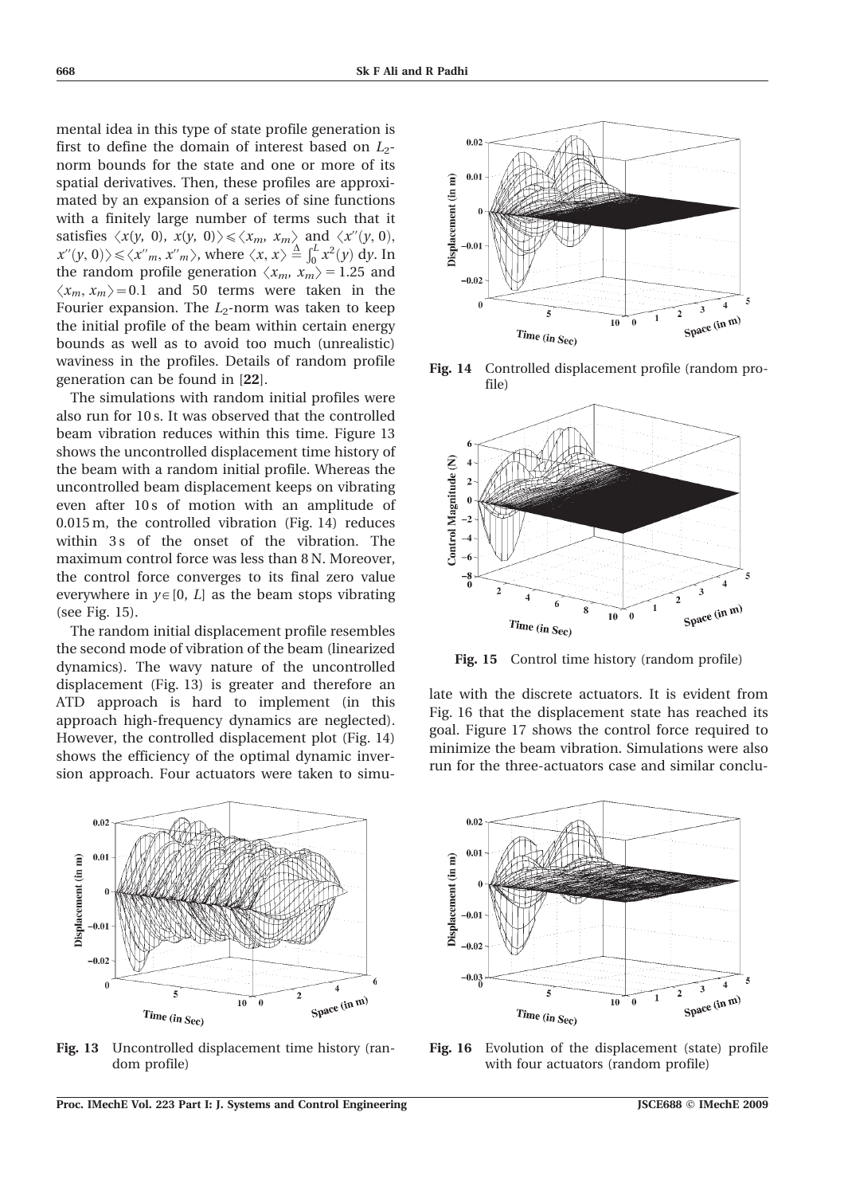mental idea in this type of state profile generation is first to define the domain of interest based on  $L_2$ norm bounds for the state and one or more of its spatial derivatives. Then, these profiles are approximated by an expansion of a series of sine functions with a finitely large number of terms such that it satisfies  $\langle x(y, 0), x(y, 0) \rangle \leq \langle x_m, x_m \rangle$  and  $\langle x''(y, 0),$  $\langle x''(y, 0) \rangle \leq \langle x''_m, x''_m \rangle$ , where  $\langle x, x \rangle \stackrel{\Delta}{=} \int_0^L x^2(y) dy$ . In the random profile generation  $\langle x_m, x_m \rangle = 1.25$  and  $\langle x_m, x_m \rangle = 0.1$  and 50 terms were taken in the Fourier expansion. The *L*<sub>2</sub>-norm was taken to keep the initial profile of the beam within certain energy bounds as well as to avoid too much (unrealistic) waviness in the profiles. Details of random profile generation can be found in [22].

The simulations with random initial profiles were also run for 10 s. It was observed that the controlled beam vibration reduces within this time. Figure 13 shows the uncontrolled displacement time history of the beam with a random initial profile. Whereas the uncontrolled beam displacement keeps on vibrating even after 10 s of motion with an amplitude of 0.015 m, the controlled vibration (Fig. 14) reduces within 3s of the onset of the vibration. The maximum control force was less than 8 N. Moreover, the control force converges to its final zero value everywhere in  $y \in [0, L]$  as the beam stops vibrating (see Fig. 15).

The random initial displacement profile resembles the second mode of vibration of the beam (linearized dynamics). The wavy nature of the uncontrolled displacement (Fig. 13) is greater and therefore an ATD approach is hard to implement (in this approach high-frequency dynamics are neglected). However, the controlled displacement plot (Fig. 14) shows the efficiency of the optimal dynamic inversion approach. Four actuators were taken to simu-



Fig. 13 Uncontrolled displacement time history (random profile)





Fig. 14 Controlled displacement profile (random profile)



Fig. 15 Control time history (random profile)

late with the discrete actuators. It is evident from Fig. 16 that the displacement state has reached its goal. Figure 17 shows the control force required to minimize the beam vibration. Simulations were also run for the three-actuators case and similar conclu-



Fig. 16 Evolution of the displacement (state) profile with four actuators (random profile)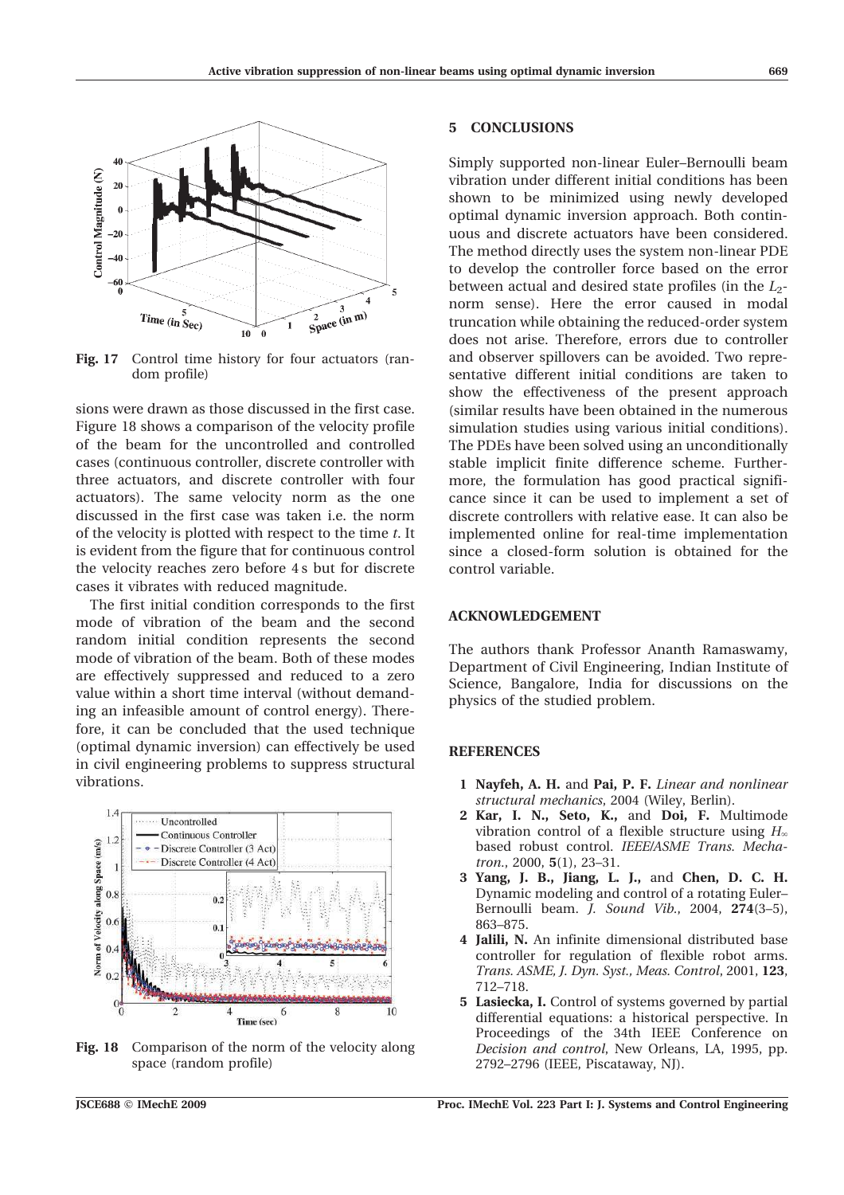

Simply supported non-linear Euler–Bernoulli beam vibration under different initial conditions has been shown to be minimized using newly developed optimal dynamic inversion approach. Both continuous and discrete actuators have been considered. The method directly uses the system non-linear PDE to develop the controller force based on the error between actual and desired state profiles (in the L<sub>2</sub>norm sense). Here the error caused in modal truncation while obtaining the reduced-order system does not arise. Therefore, errors due to controller and observer spillovers can be avoided. Two representative different initial conditions are taken to show the effectiveness of the present approach (similar results have been obtained in the numerous simulation studies using various initial conditions). The PDEs have been solved using an unconditionally stable implicit finite difference scheme. Furthermore, the formulation has good practical significance since it can be used to implement a set of discrete controllers with relative ease. It can also be implemented online for real-time implementation since a closed-form solution is obtained for the control variable.

# ACKNOWLEDGEMENT

The authors thank Professor Ananth Ramaswamy, Department of Civil Engineering, Indian Institute of Science, Bangalore, India for discussions on the physics of the studied problem.

# **REFERENCES**

- 1 Nayfeh, A. H. and Pai, P. F. *Linear and nonlinear structural mechanics*, 2004 (Wiley, Berlin).
- 2 Kar, I. N., Seto, K., and Doi, F. Multimode vibration control of a flexible structure using  $H_{\infty}$ based robust control. *IEEE/ASME Trans. Mechatron.*, 2000, 5(1), 23–31.
- 3 Yang, J. B., Jiang, L. J., and Chen, D. C. H. Dynamic modeling and control of a rotating Euler– Bernoulli beam. *J. Sound Vib.*, 2004, 274(3–5), 863–875.
- 4 Jalili, N. An infinite dimensional distributed base controller for regulation of flexible robot arms. *Trans. ASME, J. Dyn. Syst., Meas. Control*, 2001, 123, 712–718.
- 5 Lasiecka, I. Control of systems governed by partial differential equations: a historical perspective. In Proceedings of the 34th IEEE Conference on *Decision and control*, New Orleans, LA, 1995, pp. 2792–2796 (IEEE, Piscataway, NJ).

space (random profile)

Control Magnitude (N)  $-40$  $\frac{60}{0}$  $\overline{\mathbf{4}}$ з  $\frac{2}{\text{space (in m)}}$ 5 Time  $(i n S_{ec})$ 

 $\overline{46}$ 

 $20$  $\mathbf{0}$  $-20$ 

Fig. 17 Control time history for four actuators (random profile)

 $10$  $\overline{0}$ 

sions were drawn as those discussed in the first case. Figure 18 shows a comparison of the velocity profile of the beam for the uncontrolled and controlled cases (continuous controller, discrete controller with three actuators, and discrete controller with four actuators). The same velocity norm as the one discussed in the first case was taken i.e. the norm of the velocity is plotted with respect to the time *t*. It is evident from the figure that for continuous control the velocity reaches zero before 4 s but for discrete cases it vibrates with reduced magnitude.

The first initial condition corresponds to the first mode of vibration of the beam and the second random initial condition represents the second mode of vibration of the beam. Both of these modes are effectively suppressed and reduced to a zero value within a short time interval (without demanding an infeasible amount of control energy). Therefore, it can be concluded that the used technique (optimal dynamic inversion) can effectively be used in civil engineering problems to suppress structural vibrations.

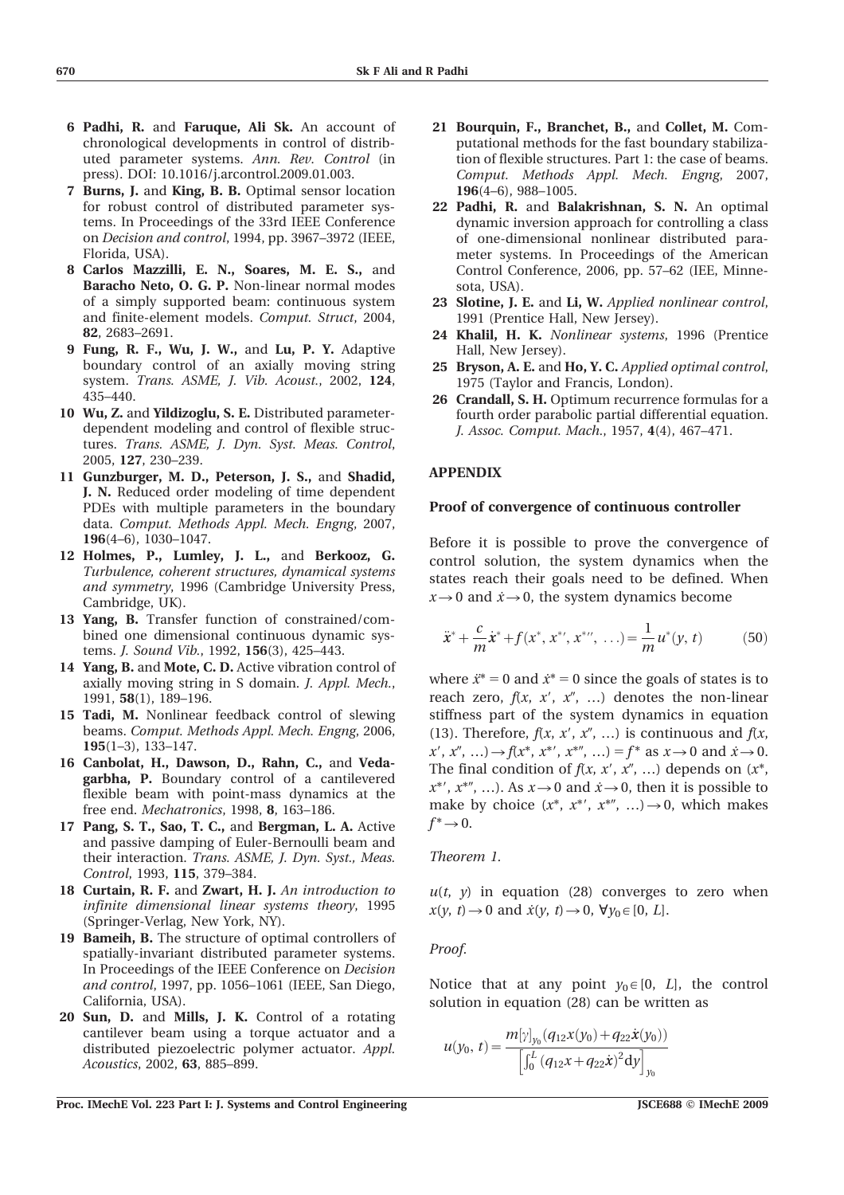- 6 Padhi, R. and Faruque, Ali Sk. An account of chronological developments in control of distributed parameter systems. *Ann. Rev. Control* (in press). DOI: 10.1016/j.arcontrol.2009.01.003.
- 7 Burns, J. and King, B. B. Optimal sensor location for robust control of distributed parameter systems. In Proceedings of the 33rd IEEE Conference on *Decision and control*, 1994, pp. 3967–3972 (IEEE, Florida, USA).
- 8 Carlos Mazzilli, E. N., Soares, M. E. S., and Baracho Neto, O. G. P. Non-linear normal modes of a simply supported beam: continuous system and finite-element models. *Comput. Struct*, 2004, 82, 2683–2691.
- 9 Fung, R. F., Wu, J. W., and Lu, P. Y. Adaptive boundary control of an axially moving string system. *Trans. ASME, J. Vib. Acoust.*, 2002, 124, 435–440.
- 10 Wu, Z. and Yildizoglu, S. E. Distributed parameterdependent modeling and control of flexible structures. *Trans. ASME, J. Dyn. Syst. Meas. Control*, 2005, 127, 230–239.
- 11 Gunzburger, M. D., Peterson, J. S., and Shadid, J. N. Reduced order modeling of time dependent PDEs with multiple parameters in the boundary data. *Comput. Methods Appl. Mech. Engng*, 2007, 196(4–6), 1030–1047.
- 12 Holmes, P., Lumley, J. L., and Berkooz, G. *Turbulence, coherent structures, dynamical systems and symmetry*, 1996 (Cambridge University Press, Cambridge, UK).
- 13 Yang, B. Transfer function of constrained/combined one dimensional continuous dynamic systems. *J. Sound Vib.*, 1992, 156(3), 425–443.
- 14 Yang, B. and Mote, C. D. Active vibration control of axially moving string in S domain. *J. Appl. Mech.*, 1991, 58(1), 189–196.
- 15 Tadi, M. Nonlinear feedback control of slewing beams. *Comput. Methods Appl. Mech. Engng*, 2006, 195(1–3), 133–147.
- 16 Canbolat, H., Dawson, D., Rahn, C., and Vedagarbha, P. Boundary control of a cantilevered flexible beam with point-mass dynamics at the free end. *Mechatronics*, 1998, 8, 163–186.
- 17 Pang, S. T., Sao, T. C., and Bergman, L. A. Active and passive damping of Euler-Bernoulli beam and their interaction. *Trans. ASME, J. Dyn. Syst., Meas. Control*, 1993, 115, 379–384.
- 18 Curtain, R. F. and Zwart, H. J. *An introduction to infinite dimensional linear systems theory*, 1995 (Springer-Verlag, New York, NY).
- 19 Bameih, B. The structure of optimal controllers of spatially-invariant distributed parameter systems. In Proceedings of the IEEE Conference on *Decision and control*, 1997, pp. 1056–1061 (IEEE, San Diego, California, USA).
- 20 Sun, D. and Mills, J. K. Control of a rotating cantilever beam using a torque actuator and a distributed piezoelectric polymer actuator. *Appl. Acoustics*, 2002, 63, 885–899.
- 21 Bourquin, F., Branchet, B., and Collet, M. Computational methods for the fast boundary stabilization of flexible structures. Part 1: the case of beams. *Comput. Methods Appl. Mech. Engng*, 2007, 196(4–6), 988–1005.
- 22 Padhi, R. and Balakrishnan, S. N. An optimal dynamic inversion approach for controlling a class of one-dimensional nonlinear distributed parameter systems. In Proceedings of the American Control Conference, 2006, pp. 57–62 (IEE, Minnesota, USA).
- 23 Slotine, J. E. and Li, W. *Applied nonlinear control*, 1991 (Prentice Hall, New Jersey).
- 24 Khalil, H. K. *Nonlinear systems*, 1996 (Prentice Hall, New Jersey).
- 25 Bryson, A. E. and Ho, Y. C. *Applied optimal control*, 1975 (Taylor and Francis, London).
- 26 Crandall, S. H. Optimum recurrence formulas for a fourth order parabolic partial differential equation. *J. Assoc. Comput. Mach.*, 1957, 4(4), 467–471.

### APPENDIX

### Proof of convergence of continuous controller

Before it is possible to prove the convergence of control solution, the system dynamics when the states reach their goals need to be defined. When  $x \rightarrow 0$  and  $\dot{x} \rightarrow 0$ , the system dynamics become

$$
\ddot{x}^* + \frac{c}{m}\dot{x}^* + f(x^*, x^{*,}, x^{*,}, \ldots) = \frac{1}{m}u^*(y, t) \tag{50}
$$

where  $\ddot{x}^* = 0$  and  $\dot{x}^* = 0$  since the goals of states is to reach zero,  $f(x, x', x'', ...)$  denotes the non-linear stiffness part of the system dynamics in equation (13). Therefore,  $f(x, x', x'', \ldots)$  is continuous and  $f(x,$  $x', x'', \ldots$   $\rightarrow$  *f*( $x^*$ ,  $x^{*}$ ,  $x^{*}$ ,  $\ldots$ ) =  $f^*$  as  $x \rightarrow 0$  and  $\dot{x} \rightarrow 0$ . The final condition of  $f(x, x', x'', ...)$  depends on  $(x^*)$ , *x*<sup>\*'</sup>, *x*<sup>\*''</sup>, ...). As  $x \rightarrow 0$  and  $\dot{x} \rightarrow 0$ , then it is possible to make by choice  $(x^*, x^{*,}, x^{*,}, ...) \rightarrow 0$ , which makes  $f^* \rightarrow 0$ .

### *Theorem 1.*

 $u(t, y)$  in equation (28) converges to zero when  $x(y, t) \rightarrow 0$  and  $\dot{x}(y, t) \rightarrow 0$ ,  $\forall y_0 \in [0, L]$ .

### *Proof.*

Notice that at any point  $y_0 \in [0, L]$ , the control solution in equation (28) can be written as

$$
u(y_0, t) = \frac{m[\gamma]_{y_0}(q_{12}x(y_0) + q_{22}\dot{x}(y_0))}{\left[\int_0^L (q_{12}x + q_{22}\dot{x})^2 dy\right]_{y_0}}
$$

Proc. IMechE Vol. 223 Part I: J. Systems and Control Engineering JSCE688 © IMechE 2009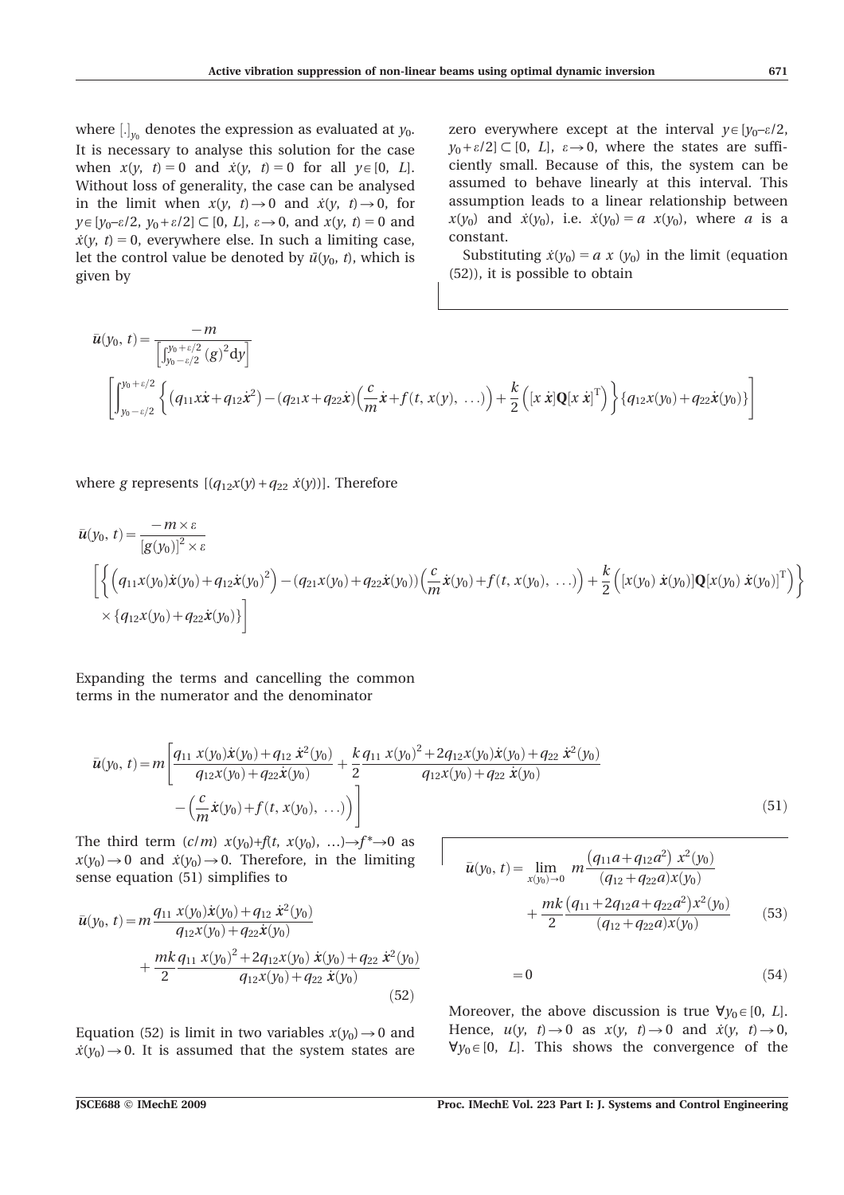where  $\left[\cdot\right]_{y_0}$  denotes the expression as evaluated at  $y_0$ . It is necessary to analyse this solution for the case when  $x(y, t) = 0$  and  $\dot{x}(y, t) = 0$  for all  $y \in [0, L]$ . Without loss of generality, the case can be analysed in the limit when  $x(y, t) \rightarrow 0$  and  $\dot{x}(y, t) \rightarrow 0$ , for  $\gamma \in [\gamma_0 - \varepsilon/2, \gamma_0 + \varepsilon/2] \subset [0, L], \varepsilon \to 0$ , and  $x(\gamma, t) = 0$  and  $\dot{x}(y, t) = 0$ , everywhere else. In such a limiting case, let the control value be denoted by  $\bar{u}(v_0, t)$ , which is given by

zero everywhere except at the interval  $\gamma \in [\gamma_0 - \varepsilon/2,$  $y_0 + \varepsilon/2 \subset [0, L], \varepsilon \to 0$ , where the states are sufficiently small. Because of this, the system can be assumed to behave linearly at this interval. This assumption leads to a linear relationship between  $x(y_0)$  and  $\dot{x}(y_0)$ , i.e.  $\dot{x}(y_0) = a \, x(y_0)$ , where *a* is a constant.

Substituting  $\dot{x}(y_0) = a x (y_0)$  in the limit (equation (52)), it is possible to obtain

$$
\bar{u}(y_0, t) = \frac{-m}{\left[\int_{y_0 - \varepsilon/2}^{y_0 + \varepsilon/2} (g)^2 dy\right]}
$$
\n
$$
\left[\int_{y_0 - \varepsilon/2}^{y_0 + \varepsilon/2} \left\{ (q_{11}x\dot{x} + q_{12}\dot{x}^2) - (q_{21}x + q_{22}\dot{x})\left(\frac{c}{m}\dot{x} + f(t, x(y), \ldots)\right) + \frac{k}{2} \left( [x\dot{x}]\mathbf{Q}[x\dot{x}]^T \right) \right\} \{q_{12}x(y_0) + q_{22}\dot{x}(y_0) \} \right]
$$

where *g* represents  $[(q_{12}x(y) + q_{22} \dot{x}(y))]$ . Therefore

$$
\bar{u}(y_0, t) = \frac{-m \times \varepsilon}{[g(y_0)]^2 \times \varepsilon}
$$
\n
$$
\left[ \left\{ \left( q_{11}x(y_0)\dot{x}(y_0) + q_{12}\dot{x}(y_0)^2 \right) - (q_{21}x(y_0) + q_{22}\dot{x}(y_0)) \left( \frac{\varepsilon}{m}\dot{x}(y_0) + f(t, x(y_0), \ldots) \right) + \frac{k}{2} \left( [x(y_0)\dot{x}(y_0)\dot{x}(y_0)]\mathbf{Q}[x(y_0)\dot{x}(y_0)]^T \right) \right\}
$$
\n
$$
\times \left\{ q_{12}x(y_0) + q_{22}\dot{x}(y_0) \right\}
$$

Expanding the terms and cancelling the common terms in the numerator and the denominator

$$
\bar{u}(y_0, t) = m \left[ \frac{q_{11} x(y_0) \dot{x}(y_0) + q_{12} \dot{x}^2(y_0)}{q_{12} x(y_0) + q_{22} \dot{x}(y_0)} + \frac{k q_{11} x(y_0)^2 + 2 q_{12} x(y_0) \dot{x}(y_0) + q_{22} \dot{x}^2(y_0)}{q_{12} x(y_0) + q_{22} \dot{x}(y_0)} - \left(\frac{c}{m} \dot{x}(y_0) + f(t, x(y_0), \ldots)\right) \right]
$$
\n(51)

The third term  $(c/m)$   $x(y_0)+f(t, x(y_0), ...) \rightarrow f^* \rightarrow 0$  as  $x(y_0) \rightarrow 0$  and  $\dot{x}(y_0) \rightarrow 0$ . Therefore, in the limiting sense equation (51) simplifies to

$$
\bar{u}(y_0, t) = m \frac{q_{11} x(y_0) \dot{x}(y_0) + q_{12} \dot{x}^2(y_0)}{q_{12} x(y_0) + q_{22} \dot{x}(y_0)} \n+ \frac{mk}{2} \frac{q_{11} x(y_0)^2 + 2q_{12} x(y_0) \dot{x}(y_0) + q_{22} \dot{x}^2(y_0)}{q_{12} x(y_0) + q_{22} \dot{x}(y_0)}
$$
\n(52)

Equation (52) is limit in two variables  $x(y_0) \rightarrow 0$  and  $\dot{x}(\nu_0) \rightarrow 0$ . It is assumed that the system states are

$$
\bar{u}(y_0, t) = \lim_{x(y_0) \to 0} m \frac{\left(q_{11}a + q_{12}a^2\right) x^2 (y_0)}{\left(q_{12} + q_{22}a\right) x (y_0)} + \frac{mk}{2} \frac{\left(q_{11} + 2q_{12}a + q_{22}a^2\right) x^2 (y_0)}{\left(q_{12} + q_{22}a\right) x (y_0)} \tag{53}
$$

$$
=0\tag{54}
$$

Moreover, the above discussion is true  $\forall y_0 \in [0, L]$ . Hence,  $u(y, t) \rightarrow 0$  as  $x(y, t) \rightarrow 0$  and  $\dot{x}(y, t) \rightarrow 0$ ,  $\forall y_0 \in [0, L]$ . This shows the convergence of the